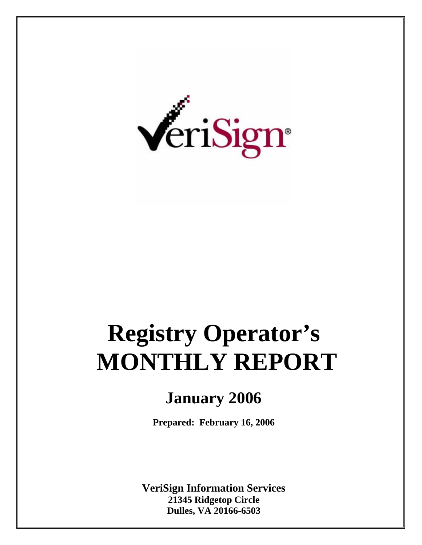

# **Registry Operator's MONTHLY REPORT**

## **January 2006**

**Prepared: February 16, 2006** 

**VeriSign Information Services 21345 Ridgetop Circle Dulles, VA 20166-6503**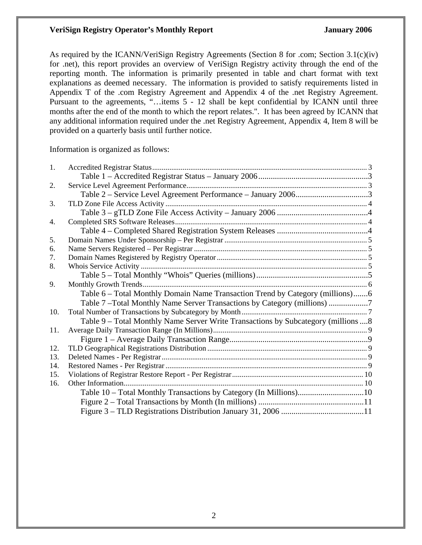As required by the ICANN/VeriSign Registry Agreements (Section 8 for .com; Section 3.1(c)(iv) for .net), this report provides an overview of VeriSign Registry activity through the end of the reporting month. The information is primarily presented in table and chart format with text explanations as deemed necessary. The information is provided to satisfy requirements listed in Appendix T of the .com Registry Agreement and Appendix 4 of the .net Registry Agreement. Pursuant to the agreements, "…items 5 - 12 shall be kept confidential by ICANN until three months after the end of the month to which the report relates.". It has been agreed by ICANN that any additional information required under the .net Registry Agreement, Appendix 4, Item 8 will be provided on a quarterly basis until further notice.

Information is organized as follows:

| 1.  |                                                                                     |
|-----|-------------------------------------------------------------------------------------|
|     |                                                                                     |
| 2.  |                                                                                     |
|     |                                                                                     |
| 3.  |                                                                                     |
|     |                                                                                     |
| 4.  |                                                                                     |
|     |                                                                                     |
| 5.  |                                                                                     |
| 6.  |                                                                                     |
| 7.  |                                                                                     |
| 8.  |                                                                                     |
|     |                                                                                     |
| 9.  |                                                                                     |
|     | Table 6 - Total Monthly Domain Name Transaction Trend by Category (millions)6       |
|     | Table 7-Total Monthly Name Server Transactions by Category (millions)               |
| 10. |                                                                                     |
|     | Table 9 – Total Monthly Name Server Write Transactions by Subcategory (millions  8) |
| 11. |                                                                                     |
|     |                                                                                     |
| 12. |                                                                                     |
| 13. |                                                                                     |
| 14. |                                                                                     |
| 15. |                                                                                     |
| 16. |                                                                                     |
|     |                                                                                     |
|     |                                                                                     |
|     |                                                                                     |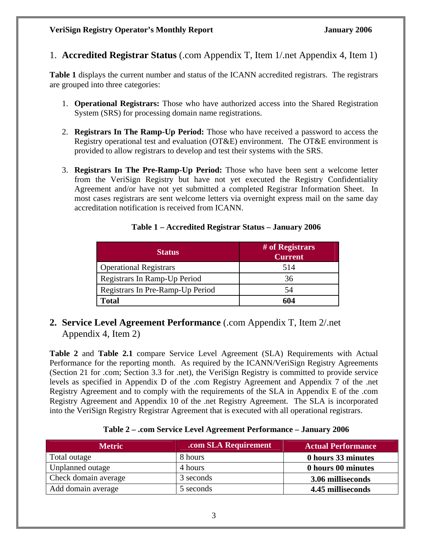1. **Accredited Registrar Status** (.com Appendix T, Item 1/.net Appendix 4, Item 1)

**Table 1** displays the current number and status of the ICANN accredited registrars. The registrars are grouped into three categories:

- 1. **Operational Registrars:** Those who have authorized access into the Shared Registration System (SRS) for processing domain name registrations.
- 2. **Registrars In The Ramp-Up Period:** Those who have received a password to access the Registry operational test and evaluation (OT&E) environment. The OT&E environment is provided to allow registrars to develop and test their systems with the SRS.
- 3. **Registrars In The Pre-Ramp-Up Period:** Those who have been sent a welcome letter from the VeriSign Registry but have not yet executed the Registry Confidentiality Agreement and/or have not yet submitted a completed Registrar Information Sheet. In most cases registrars are sent welcome letters via overnight express mail on the same day accreditation notification is received from ICANN.

| <b>Status</b>                    | # of Registrars<br><b>Current</b> |
|----------------------------------|-----------------------------------|
| <b>Operational Registrars</b>    | 514                               |
| Registrars In Ramp-Up Period     | 36                                |
| Registrars In Pre-Ramp-Up Period | 54                                |
| Total                            | 604                               |

#### **Table 1 – Accredited Registrar Status – January 2006**

**2. Service Level Agreement Performance** (.com Appendix T, Item 2/.net Appendix 4, Item 2)

**Table 2** and **Table 2.1** compare Service Level Agreement (SLA) Requirements with Actual Performance for the reporting month. As required by the ICANN/VeriSign Registry Agreements (Section 21 for .com; Section 3.3 for .net), the VeriSign Registry is committed to provide service levels as specified in Appendix D of the .com Registry Agreement and Appendix 7 of the .net Registry Agreement and to comply with the requirements of the SLA in Appendix E of the .com Registry Agreement and Appendix 10 of the .net Registry Agreement. The SLA is incorporated into the VeriSign Registry Registrar Agreement that is executed with all operational registrars.

#### **Table 2 – .com Service Level Agreement Performance – January 2006**

| <b>Metric</b>        | .com SLA Requirement | <b>Actual Performance</b> |
|----------------------|----------------------|---------------------------|
| Total outage         | 8 hours              | 0 hours 33 minutes        |
| Unplanned outage     | 4 hours              | 0 hours 00 minutes        |
| Check domain average | 3 seconds            | 3.06 milliseconds         |
| Add domain average   | 5 seconds            | 4.45 milliseconds         |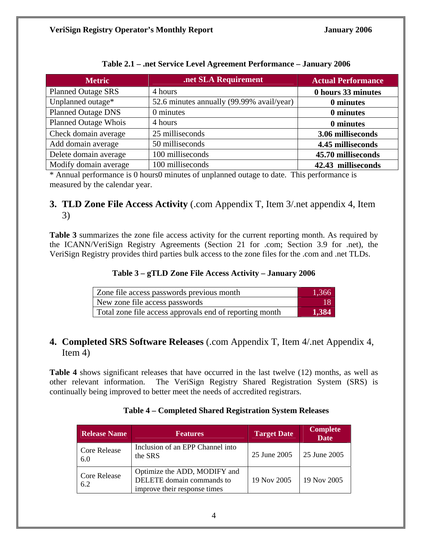| <b>Metric</b>               | .net SLA Requirement                      | <b>Actual Performance</b> |
|-----------------------------|-------------------------------------------|---------------------------|
| <b>Planned Outage SRS</b>   | 4 hours                                   | 0 hours 33 minutes        |
| Unplanned outage*           | 52.6 minutes annually (99.99% avail/year) | 0 minutes                 |
| <b>Planned Outage DNS</b>   | 0 minutes                                 | 0 minutes                 |
| <b>Planned Outage Whois</b> | 4 hours                                   | 0 minutes                 |
| Check domain average        | 25 milliseconds                           | 3.06 milliseconds         |
| Add domain average          | 50 milliseconds                           | 4.45 milliseconds         |
| Delete domain average       | 100 milliseconds                          | 45.70 milliseconds        |
| Modify domain average       | 100 milliseconds                          | 42.43 milliseconds        |

#### **Table 2.1 – .net Service Level Agreement Performance – January 2006**

\* Annual performance is 0 hours0 minutes of unplanned outage to date. This performance is measured by the calendar year.

#### **3. TLD Zone File Access Activity** (.com Appendix T, Item 3/.net appendix 4, Item 3)

**Table 3** summarizes the zone file access activity for the current reporting month. As required by the ICANN/VeriSign Registry Agreements (Section 21 for .com; Section 3.9 for .net), the VeriSign Registry provides third parties bulk access to the zone files for the .com and .net TLDs.

#### **Table 3 – gTLD Zone File Access Activity – January 2006**

| Zone file access passwords previous month               | 1,366 |
|---------------------------------------------------------|-------|
| New zone file access passwords                          | 18    |
| Total zone file access approvals end of reporting month | 1,384 |

#### **4. Completed SRS Software Releases** (.com Appendix T, Item 4/.net Appendix 4, Item 4)

**Table 4** shows significant releases that have occurred in the last twelve (12) months, as well as other relevant information. The VeriSign Registry Shared Registration System (SRS) is continually being improved to better meet the needs of accredited registrars.

| <b>Release Name</b>        | <b>Features</b>                                                                           | <b>Target Date</b> | <b>Complete</b><br><b>Date</b> |
|----------------------------|-------------------------------------------------------------------------------------------|--------------------|--------------------------------|
| <b>Core Release</b><br>6.0 | Inclusion of an EPP Channel into<br>the SRS                                               | 25 June 2005       | 25 June 2005                   |
| <b>Core Release</b><br>6.2 | Optimize the ADD, MODIFY and<br>DELETE domain commands to<br>improve their response times | 19 Nov 2005        | 19 Nov 2005                    |

#### **Table 4 – Completed Shared Registration System Releases**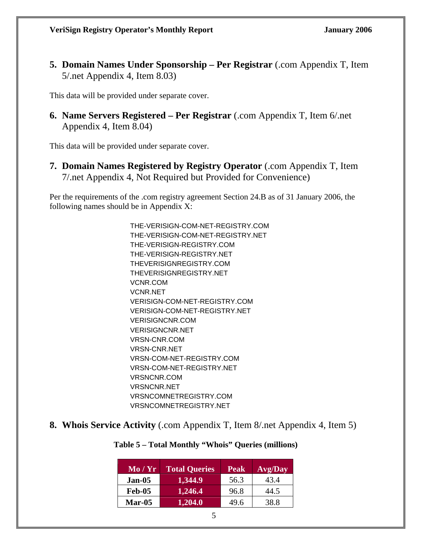**5. Domain Names Under Sponsorship – Per Registrar** (.com Appendix T, Item 5/.net Appendix 4, Item 8.03)

This data will be provided under separate cover.

**6. Name Servers Registered – Per Registrar** (.com Appendix T, Item 6/.net Appendix 4, Item 8.04)

This data will be provided under separate cover.

**7. Domain Names Registered by Registry Operator** (.com Appendix T, Item 7/.net Appendix 4, Not Required but Provided for Convenience)

Per the requirements of the .com registry agreement Section 24.B as of 31 January 2006, the following names should be in Appendix X:

> THE-VERISIGN-COM-NET-REGISTRY.COM THE-VERISIGN-COM-NET-REGISTRY.NET THE-VERISIGN-REGISTRY.COM THE-VERISIGN-REGISTRY.NET THEVERISIGNREGISTRY.COM THEVERISIGNREGISTRY.NET VCNR.COM VCNR.NET VERISIGN-COM-NET-REGISTRY.COM VERISIGN-COM-NET-REGISTRY.NET VERISIGNCNR.COM VERISIGNCNR.NET VRSN-CNR.COM VRSN-CNR.NET VRSN-COM-NET-REGISTRY.COM VRSN-COM-NET-REGISTRY.NET VRSNCNR.COM VRSNCNR.NET VRSNCOMNETREGISTRY.COM VRSNCOMNETREGISTRY.NET

**8. Whois Service Activity** (.com Appendix T, Item 8/.net Appendix 4, Item 5)

| Table 5 – Total Monthly "Whois" Queries (millions) |  |  |
|----------------------------------------------------|--|--|
|----------------------------------------------------|--|--|

| $\mathbf{Mo}/\mathbf{Yr}$ | <b>Total Queries</b> | <b>Peak</b> | Avg/Day |
|---------------------------|----------------------|-------------|---------|
| Jan-05                    | 1,344.9              | 56.3        | 43.4    |
| <b>Feb-05</b>             | 1,246.4              | 96.8        | 44.5    |
| <b>Mar-05</b>             | 1,204.0              | 49.6        | 38.8    |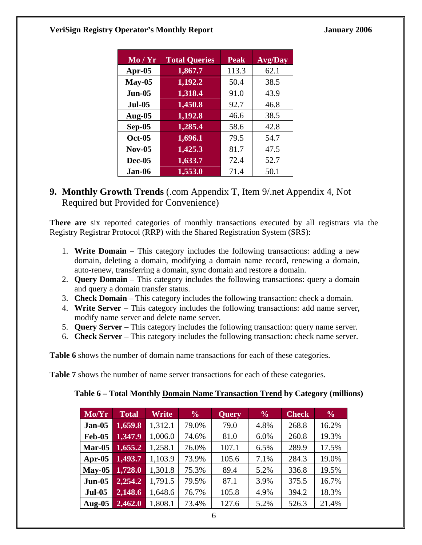| Mo / Yr       | <b>Total Queries</b> | <b>Peak</b> | <b>Avg/Day</b> |
|---------------|----------------------|-------------|----------------|
| Apr- $05$     | 1,867.7              | 113.3       | 62.1           |
| $May-05$      | 1,192.2              | 50.4        | 38.5           |
| $Jun-05$      | 1,318.4              | 91.0        | 43.9           |
| <b>Jul-05</b> | 1,450.8              | 92.7        | 46.8           |
| Aug- $05$     | 1,192.8              | 46.6        | 38.5           |
| $Sep-05$      | 1,285.4              | 58.6        | 42.8           |
| <b>Oct-05</b> | 1,696.1              | 79.5        | 54.7           |
| <b>Nov-05</b> | 1,425.3              | 81.7        | 47.5           |
| <b>Dec-05</b> | 1,633.7              | 72.4        | 52.7           |
| Jan-06        | 1,553.0              | 71.4        | 50.1           |

#### **9. Monthly Growth Trends** (.com Appendix T, Item 9/.net Appendix 4, Not Required but Provided for Convenience)

**There are** six reported categories of monthly transactions executed by all registrars via the Registry Registrar Protocol (RRP) with the Shared Registration System (SRS):

- 1. **Write Domain**  This category includes the following transactions: adding a new domain, deleting a domain, modifying a domain name record, renewing a domain, auto-renew, transferring a domain, sync domain and restore a domain.
- 2. **Query Domain** This category includes the following transactions: query a domain and query a domain transfer status.
- 3. **Check Domain** This category includes the following transaction: check a domain.
- 4. **Write Server** This category includes the following transactions: add name server, modify name server and delete name server.
- 5. **Query Server** This category includes the following transaction: query name server.
- 6. **Check Server**  This category includes the following transaction: check name server.

**Table 6** shows the number of domain name transactions for each of these categories.

**Table 7** shows the number of name server transactions for each of these categories.

| Table 6 – Total Monthly Domain Name Transaction Trend by Category (millions) |  |  |  |
|------------------------------------------------------------------------------|--|--|--|
|------------------------------------------------------------------------------|--|--|--|

| Mo/Yr         | <b>Total</b> | Write   | $\frac{6}{6}$ | <b>Query</b> | $\frac{6}{6}$ | <b>Check</b> | $\frac{6}{6}$ |
|---------------|--------------|---------|---------------|--------------|---------------|--------------|---------------|
| $Jan-05$      | 1,659.8      | 1,312.1 | 79.0%         | 79.0         | 4.8%          | 268.8        | 16.2%         |
| <b>Feb-05</b> | 1,347.9      | 1,006.0 | 74.6%         | 81.0         | 6.0%          | 260.8        | 19.3%         |
| Mar-05        | 1,655.2      | 1,258.1 | 76.0%         | 107.1        | 6.5%          | 289.9        | 17.5%         |
| Apr- $05$     | 1,493.7      | 1,103.9 | 73.9%         | 105.6        | 7.1%          | 284.3        | 19.0%         |
| $Mav-05$      | 1,728.0      | 1,301.8 | 75.3%         | 89.4         | 5.2%          | 336.8        | 19.5%         |
| $Jun-05$      | 2,254.2      | 1,791.5 | 79.5%         | 87.1         | 3.9%          | 375.5        | 16.7%         |
| <b>Jul-05</b> | 2,148.6      | 1,648.6 | 76.7%         | 105.8        | 4.9%          | 394.2        | 18.3%         |
| Aug- $05$     | 2,462.0      | 1,808.1 | 73.4%         | 127.6        | 5.2%          | 526.3        | 21.4%         |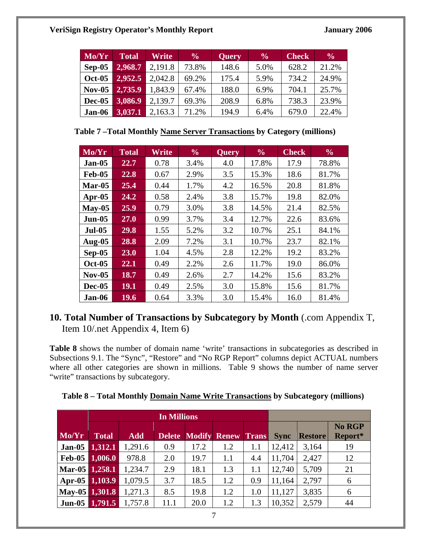| Mo/Yr         | <b>Total</b> | Write   | $\frac{6}{6}$ | Query | $\frac{6}{9}$ | <b>Check</b> | $\frac{6}{6}$ |
|---------------|--------------|---------|---------------|-------|---------------|--------------|---------------|
| $Sep-05$      | 2,968.7      | 2,191.8 | 73.8%         | 148.6 | 5.0%          | 628.2        | 21.2%         |
| <b>Oct-05</b> | 2,952.5      | 2,042.8 | 69.2%         | 175.4 | 5.9%          | 734.2        | 24.9%         |
| $Nov-05$      | 2,735.9      | 1,843.9 | 67.4%         | 188.0 | 6.9%          | 704.1        | 25.7%         |
| Dec-05        | 3,086.9      | 2,139.7 | 69.3%         | 208.9 | 6.8%          | 738.3        | 23.9%         |
| Jan-06        | 3,037.1      | 2,163.3 | 71.2%         | 194.9 | 6.4%          | 679.0        | 22.4%         |

**Table 7 –Total Monthly Name Server Transactions by Category (millions)** 

| Mo/Yr         | <b>Total</b> | Write | $\frac{6}{6}$ | <b>Query</b> | $\frac{6}{6}$ | <b>Check</b> | $\frac{6}{6}$ |
|---------------|--------------|-------|---------------|--------------|---------------|--------------|---------------|
| <b>Jan-05</b> | 22.7         | 0.78  | 3.4%          | 4.0          | 17.8%         | 17.9         | 78.8%         |
| <b>Feb-05</b> | 22.8         | 0.67  | 2.9%          | 3.5          | 15.3%         | 18.6         | 81.7%         |
| $Mar-05$      | 25.4         | 0.44  | 1.7%          | 4.2          | 16.5%         | 20.8         | 81.8%         |
| Apr- $05$     | 24.2         | 0.58  | 2.4%          | 3.8          | 15.7%         | 19.8         | 82.0%         |
| $May-05$      | 25.9         | 0.79  | 3.0%          | 3.8          | 14.5%         | 21.4         | 82.5%         |
| <b>Jun-05</b> | 27.0         | 0.99  | 3.7%          | 3.4          | 12.7%         | 22.6         | 83.6%         |
| <b>Jul-05</b> | 29.8         | 1.55  | 5.2%          | 3.2          | 10.7%         | 25.1         | 84.1%         |
| <b>Aug-05</b> | 28.8         | 2.09  | 7.2%          | 3.1          | 10.7%         | 23.7         | 82.1%         |
| $Sep-05$      | 23.0         | 1.04  | 4.5%          | 2.8          | 12.2%         | 19.2         | 83.2%         |
| <b>Oct-05</b> | 22.1         | 0.49  | 2.2%          | 2.6          | 11.7%         | 19.0         | 86.0%         |
| $Nov-05$      | 18.7         | 0.49  | 2.6%          | 2.7          | 14.2%         | 15.6         | 83.2%         |
| <b>Dec-05</b> | <b>19.1</b>  | 0.49  | 2.5%          | 3.0          | 15.8%         | 15.6         | 81.7%         |
| Jan-06        | 19.6         | 0.64  | 3.3%          | 3.0          | 15.4%         | 16.0         | 81.4%         |

### **10. Total Number of Transactions by Subcategory by Month** (.com Appendix T, Item 10/.net Appendix 4, Item 6)

**Table 8** shows the number of domain name 'write' transactions in subcategories as described in Subsections 9.1. The "Sync", "Restore" and "No RGP Report" columns depict ACTUAL numbers where all other categories are shown in millions. Table 9 shows the number of name server "write" transactions by subcategory.

| Table 8 - Total Monthly Domain Name Write Transactions by Subcategory (millions) |  |  |
|----------------------------------------------------------------------------------|--|--|

|                |              |            | <b>In Millions</b> |      |                     |              |             |                |                   |
|----------------|--------------|------------|--------------------|------|---------------------|--------------|-------------|----------------|-------------------|
| Mo/Yr          | <b>Total</b> | <b>Add</b> | <b>Delete</b>      |      | <b>Modify Renew</b> | <b>Trans</b> | <b>Sync</b> | <b>Restore</b> | No RGP<br>Report* |
| Jan-05         | 1,312.1      | 1,291.6    | 0.9                | 17.2 | 1.2                 | 1.1          | 12,412      | 3,164          | 19                |
| <b>Feb-05</b>  | 1,006.0      | 978.8      | 2.0                | 19.7 | 1.1                 | 4.4          | 11,704      | 2,427          | 12                |
| Mar-05 1,258.1 |              | 1,234.7    | 2.9                | 18.1 | 1.3                 | 1.1          | 12,740      | 5,709          | 21                |
| Apr-05         | 1,103.9      | 1,079.5    | 3.7                | 18.5 | 1.2                 | 0.9          | 11,164      | 2,797          | 6                 |
| May-05 1,301.8 |              | 1,271.3    | 8.5                | 19.8 | 1.2                 | 1.0          | 11,127      | 3,835          | 6                 |
| <b>Jun-05</b>  | 1,791.5      | 1,757.8    | 11.1               | 20.0 | 1.2                 | 1.3          | 10,352      | 2,579          | 44                |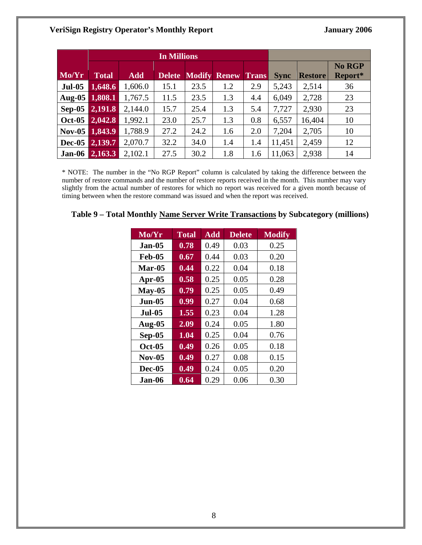|               |              |            | <b>In Millions</b> |      |                     |              |             |                |                          |
|---------------|--------------|------------|--------------------|------|---------------------|--------------|-------------|----------------|--------------------------|
| Mo/Yr         | <b>Total</b> | <b>Add</b> | <b>Delete</b>      |      | <b>Modify Renew</b> | <b>Trans</b> | <b>Sync</b> | <b>Restore</b> | <b>No RGP</b><br>Report* |
| <b>Jul-05</b> | 1,648.6      | 1,606.0    | 15.1               | 23.5 | 1.2                 | 2.9          | 5,243       | 2,514          | 36                       |
| Aug-05        | 1,808.1      | 1,767.5    | 11.5               | 23.5 | 1.3                 | 4.4          | 6,049       | 2,728          | 23                       |
| $Sep-05$      | 2,191.8      | 2,144.0    | 15.7               | 25.4 | 1.3                 | 5.4          | 7,727       | 2,930          | 23                       |
| <b>Oct-05</b> | 2,042.8      | 1,992.1    | 23.0               | 25.7 | 1.3                 | 0.8          | 6,557       | 16,404         | 10                       |
| $Nov-05$      | 1,843.9      | 1,788.9    | 27.2               | 24.2 | 1.6                 | 2.0          | 7,204       | 2,705          | 10                       |
| Dec-05        | 2,139.7      | 2,070.7    | 32.2               | 34.0 | 1.4                 | 1.4          | 11,451      | 2,459          | 12                       |
| Jan-06        | 2,163.3      | 2,102.1    | 27.5               | 30.2 | 1.8                 | 1.6          | 11,063      | 2,938          | 14                       |

\* NOTE: The number in the "No RGP Report" column is calculated by taking the difference between the number of restore commands and the number of restore reports received in the month. This number may vary slightly from the actual number of restores for which no report was received for a given month because of timing between when the restore command was issued and when the report was received.

#### **Table 9 – Total Monthly Name Server Write Transactions by Subcategory (millions)**

| $\overline{\text{Mo}}/\text{Yr}$ | <b>Total</b> | <b>Add</b> | <b>Delete</b> | <b>Modify</b> |
|----------------------------------|--------------|------------|---------------|---------------|
| <b>Jan-05</b>                    | 0.78         | 0.49       | 0.03          | 0.25          |
| Feb-05                           | 0.67         | 0.44       | 0.03          | 0.20          |
| <b>Mar-05</b>                    | 0.44         | 0.22       | 0.04          | 0.18          |
| Apr-05                           | 0.58         | 0.25       | 0.05          | 0.28          |
| $May-05$                         | 0.79         | 0.25       | 0.05          | 0.49          |
| Jun-05                           | 0.99         | 0.27       | 0.04          | 0.68          |
| <b>Jul-05</b>                    | 1.55         | 0.23       | 0.04          | 1.28          |
| <b>Aug-05</b>                    | 2.09         | 0.24       | 0.05          | 1.80          |
| Sep-05                           | 1.04         | 0.25       | 0.04          | 0.76          |
| $Oct-05$                         | 0.49         | 0.26       | 0.05          | 0.18          |
| $Nov-05$                         | 0.49         | 0.27       | 0.08          | 0.15          |
| <b>Dec-05</b>                    | 0.49         | 0.24       | 0.05          | 0.20          |
| .Ian-06                          | 0.64         | 0.29       | 0.06          | 0.30          |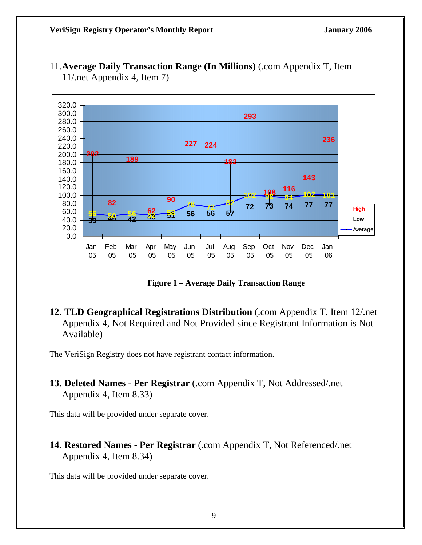

11.**Average Daily Transaction Range (In Millions)** (.com Appendix T, Item 11/.net Appendix 4, Item 7)

**Figure 1 – Average Daily Transaction Range** 

**12. TLD Geographical Registrations Distribution** (.com Appendix T, Item 12/.net Appendix 4, Not Required and Not Provided since Registrant Information is Not Available)

The VeriSign Registry does not have registrant contact information.

**13. Deleted Names - Per Registrar** (.com Appendix T, Not Addressed/.net Appendix 4, Item 8.33)

This data will be provided under separate cover.

**14. Restored Names - Per Registrar** (.com Appendix T, Not Referenced/.net Appendix 4, Item 8.34)

This data will be provided under separate cover.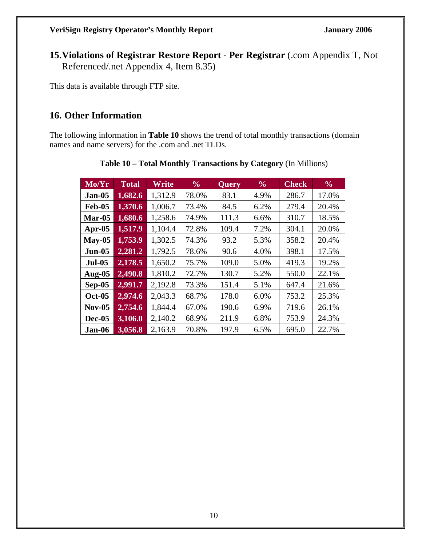**15.Violations of Registrar Restore Report - Per Registrar** (.com Appendix T, Not Referenced/.net Appendix 4, Item 8.35)

This data is available through FTP site.

#### **16. Other Information**

The following information in **Table 10** shows the trend of total monthly transactions (domain names and name servers) for the .com and .net TLDs.

| Mo/Yr         | <b>Total</b> | Write   | $\frac{6}{10}$ | Query | $\frac{6}{6}$ | <b>Check</b> | $\frac{6}{6}$ |
|---------------|--------------|---------|----------------|-------|---------------|--------------|---------------|
| <b>Jan-05</b> | 1,682.6      | 1,312.9 | 78.0%          | 83.1  | 4.9%          | 286.7        | 17.0%         |
| <b>Feb-05</b> | 1,370.6      | 1,006.7 | 73.4%          | 84.5  | 6.2%          | 279.4        | 20.4%         |
| $Mar-05$      | 1,680.6      | 1,258.6 | 74.9%          | 111.3 | 6.6%          | 310.7        | 18.5%         |
| Apr- $05$     | 1,517.9      | 1,104.4 | 72.8%          | 109.4 | 7.2%          | 304.1        | 20.0%         |
| $May-05$      | 1,753.9      | 1,302.5 | 74.3%          | 93.2  | 5.3%          | 358.2        | 20.4%         |
| $Jun-05$      | 2,281.2      | 1,792.5 | 78.6%          | 90.6  | 4.0%          | 398.1        | 17.5%         |
| <b>Jul-05</b> | 2,178.5      | 1,650.2 | 75.7%          | 109.0 | 5.0%          | 419.3        | 19.2%         |
| Aug- $05$     | 2,490.8      | 1,810.2 | 72.7%          | 130.7 | 5.2%          | 550.0        | 22.1%         |
| $Sep-05$      | 2,991.7      | 2,192.8 | 73.3%          | 151.4 | 5.1%          | 647.4        | 21.6%         |
| <b>Oct-05</b> | 2,974.6      | 2,043.3 | 68.7%          | 178.0 | 6.0%          | 753.2        | 25.3%         |
| $Nov-05$      | 2,754.6      | 1,844.4 | 67.0%          | 190.6 | 6.9%          | 719.6        | 26.1%         |
| <b>Dec-05</b> | 3,106.0      | 2,140.2 | 68.9%          | 211.9 | 6.8%          | 753.9        | 24.3%         |
| Jan-06        | 3,056.8      | 2,163.9 | 70.8%          | 197.9 | 6.5%          | 695.0        | 22.7%         |

#### **Table 10 – Total Monthly Transactions by Category** (In Millions)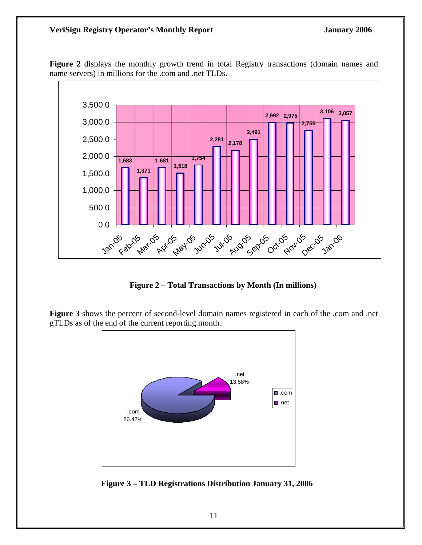

**Figure 2** displays the monthly growth trend in total Registry transactions (domain names and name servers) in millions for the .com and .net TLDs.

**Figure 2 – Total Transactions by Month (In millions)** 

**Figure 3** shows the percent of second-level domain names registered in each of the .com and .net gTLDs as of the end of the current reporting month.



 **Figure 3 – TLD Registrations Distribution January 31, 2006**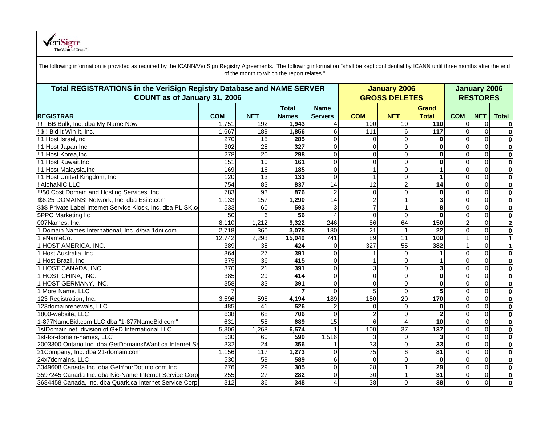

| The following information is provided as required by the ICANN/VeriSign Registry Agreements. The following information "shall be kept confidential by ICANN until three months after the end |                  |                 | of the month to which the report relates." |                               |                                             |                         |                                        |                |                         |              |
|----------------------------------------------------------------------------------------------------------------------------------------------------------------------------------------------|------------------|-----------------|--------------------------------------------|-------------------------------|---------------------------------------------|-------------------------|----------------------------------------|----------------|-------------------------|--------------|
| Total REGISTRATIONS in the VeriSign Registry Database and NAME SERVER<br>COUNT as of January 31, 2006                                                                                        |                  |                 |                                            |                               | <b>January 2006</b><br><b>GROSS DELETES</b> |                         | <b>January 2006</b><br><b>RESTORES</b> |                |                         |              |
| <b>REGISTRAR</b>                                                                                                                                                                             | <b>COM</b>       | <b>NET</b>      | <b>Total</b><br><b>Names</b>               | <b>Name</b><br><b>Servers</b> | <b>COM</b>                                  | <b>NET</b>              | <b>Grand</b><br><b>Total</b>           | <b>COM</b>     | <b>NET</b>              | <b>Total</b> |
| !!! BB Bulk, Inc. dba My Name Now                                                                                                                                                            | 1,751            | 192             | 1,943                                      |                               | 100                                         | 10                      | 110                                    | $\Omega$       | $\Omega$                | $\mathbf 0$  |
| ! \$ ! Bid It Win It, Inc.                                                                                                                                                                   | 1,667            | 189             | 1,856                                      | 6                             | 111                                         | 6                       | 117                                    | $\Omega$       | $\Omega$                | $\mathbf 0$  |
| ! 1 Host Israel, Inc                                                                                                                                                                         | 270              | $\overline{15}$ | 285                                        | 0                             | $\Omega$                                    | $\Omega$                | $\bf{0}$                               | $\Omega$       | $\Omega$                | $\mathbf 0$  |
| ! 1 Host Japan, Inc                                                                                                                                                                          | 302              | 25              | 327                                        | ٥l                            | $\Omega$                                    | $\mathbf 0$             | $\bf{0}$                               | $\Omega$       | $\Omega$                | $\mathbf 0$  |
| ! 1 Host Korea, Inc                                                                                                                                                                          | $\overline{278}$ | $\overline{20}$ | 298                                        | 0                             | $\overline{0}$                              | $\overline{0}$          | $\overline{\mathbf{0}}$                | $\Omega$       | $\mathbf 0$             | $\mathbf 0$  |
| ! 1 Host Kuwait, Inc                                                                                                                                                                         | 151              | 10              | 161                                        | 0                             | $\Omega$                                    | $\mathbf 0$             | 0                                      | $\Omega$       | $\overline{0}$          | $\mathbf 0$  |
| ! 1 Host Malaysia, Inc                                                                                                                                                                       | 169              | 16              | 185                                        | $\Omega$                      | $\mathbf{1}$                                | $\overline{0}$          | 1                                      | $\Omega$       | $\mathbf 0$             | $\mathbf 0$  |
| ! 1 Host United Kingdom, Inc.                                                                                                                                                                | 120              | 13              | 133                                        | $\Omega$                      | $\mathbf 1$                                 | $\mathbf 0$             | $\blacktriangleleft$                   | $\Omega$       | $\Omega$                | $\bf{0}$     |
| ! AlohaNIC LLC                                                                                                                                                                               | 754              | $\overline{83}$ | 837                                        | 14                            | $\overline{12}$                             | $\overline{2}$          | $\overline{14}$                        | $\Omega$       | $\mathbf 0$             | $\mathbf 0$  |
| !!!\$0 Cost Domain and Hosting Services, Inc.                                                                                                                                                | 783              | 93              | 876                                        | $\overline{c}$                | $\overline{O}$                              | $\overline{0}$          | $\bf{0}$                               | $\Omega$       | $\Omega$                | $\mathbf 0$  |
| !\$6.25 DOMAINS! Network, Inc. dba Esite.com                                                                                                                                                 | 1,133            | 157             | 1,290                                      | 14                            | $\overline{a}$                              | 1                       | 3                                      | $\Omega$       | $\Omega$                | $\mathbf 0$  |
| \$\$\$ Private Label Internet Service Kiosk, Inc. dba PLISK.co                                                                                                                               | 533              | 60              | 593                                        | 3                             | $\overline{7}$                              | 1                       | 8                                      | $\Omega$       | $\Omega$                | $\bf{0}$     |
| <b>\$PPC Marketing Ilc</b>                                                                                                                                                                   | 50               | 6               | 56                                         | 4                             | $\mathbf 0$                                 | $\overline{0}$          | $\mathbf 0$                            | $\Omega$       | $\mathbf 0$             | $\mathbf 0$  |
| 007Names, Inc.                                                                                                                                                                               | 8,110            | 1,212           | 9,322                                      | 246                           | $\overline{86}$                             | 64                      | 150                                    | $\overline{2}$ | $\mathbf 0$             | $\mathbf{2}$ |
| 1 Domain Names International, Inc. d/b/a 1dni.com                                                                                                                                            | 2,718            | 360             | 3,078                                      | 180                           | $\overline{21}$                             |                         | $\overline{22}$                        | $\Omega$       | $\Omega$                | $\mathbf 0$  |
| eNameCo.                                                                                                                                                                                     | 12.742           | 2,298           | 15,040                                     | 741                           | 89                                          | 11                      | 100                                    |                | $\Omega$                | $\vert$      |
| 1 HOST AMERICA, INC.                                                                                                                                                                         | 389              | $\overline{35}$ | 424                                        | $\Omega$                      | 327                                         | 55                      | 382                                    |                | $\Omega$                | $\vert$ 1    |
| 1 Host Australia, Inc.                                                                                                                                                                       | 364              | $\overline{27}$ | 391                                        | 0                             |                                             | $\mathbf{0}$            | 1                                      | $\Omega$       | $\overline{0}$          | $\mathbf 0$  |
| 1 Host Brazil, Inc.                                                                                                                                                                          | 379              | 36              | 415                                        | 0                             | 1                                           | $\Omega$                | 1                                      | $\Omega$       | $\Omega$                | $\bf{0}$     |
| 1 HOST CANADA. INC.                                                                                                                                                                          | 370              | $\overline{21}$ | 391                                        | $\Omega$                      | 3                                           | 0                       | 3                                      | $\Omega$       | $\Omega$                | $\bf{0}$     |
| 1 HOST CHINA, INC.                                                                                                                                                                           | 385              | $\overline{29}$ | 414                                        | 0                             | $\mathbf 0$                                 | 0                       | $\bf{0}$                               | $\Omega$       | $\mathbf 0$             | $\pmb{0}$    |
| <b>HOST GERMANY, INC.</b>                                                                                                                                                                    | 358              | 33              | 391                                        | 0                             | $\overline{0}$                              | $\overline{0}$          | $\bf{0}$                               | $\Omega$       | $\overline{0}$          | $\mathbf 0$  |
| 1 More Name, LLC                                                                                                                                                                             |                  |                 |                                            | $\Omega$                      | 5                                           | $\mathbf 0$             | 5                                      | $\Omega$       | $\mathbf 0$             | $\mathbf 0$  |
| 123 Registration, Inc.                                                                                                                                                                       | 3,596            | 598             | 4,194                                      | 189                           | 150                                         | $\overline{20}$         | 170                                    | $\Omega$       | $\overline{0}$          | $\bf{0}$     |
| 123domainrenewals, LLC                                                                                                                                                                       | 485              | 41              | 526                                        | 2                             | $\mathbf 0$                                 | 0                       | $\bf{0}$                               | $\mathbf 0$    | $\overline{\mathbf{0}}$ | $\mathbf 0$  |
| 1800-website, LLC                                                                                                                                                                            | 638              | 68              | 706                                        | $\mathbf 0$                   | $\overline{2}$                              | $\overline{0}$          | $\overline{2}$                         | $\Omega$       | $\Omega$                | $\mathbf 0$  |
| 1-877NameBid.com LLC dba "1-877NameBid.com"                                                                                                                                                  | 631              | 58              | 689                                        | 15                            | 6                                           | $\overline{\mathbf{A}}$ | $\overline{10}$                        | $\Omega$       | $\overline{0}$          | $\bf{0}$     |
| 1stDomain.net, division of G+D International LLC                                                                                                                                             | 5.306            | 1,268           | 6,574                                      | 1                             | 100                                         | $\overline{37}$         | 137                                    | $\Omega$       | $\Omega$                | $\bf{0}$     |
| 1st-for-domain-names, LLC                                                                                                                                                                    | 530              | 60              | 590                                        | 1,516                         | 3                                           | 0                       | 3                                      | $\mathbf 0$    | $\mathbf 0$             | $\mathbf 0$  |
| 2003300 Ontario Inc. dba GetDomainsIWant.ca Internet Se                                                                                                                                      | 332              | $\overline{24}$ | 356                                        |                               | $\overline{33}$                             | $\overline{0}$          | 33                                     | $\Omega$       | $\mathbf 0$             | $\mathbf 0$  |
| 21Company, Inc. dba 21-domain.com                                                                                                                                                            | 1,156            | 117             | 1,273                                      | Οl                            | 75                                          | 6                       | 81                                     | $\Omega$       | $\overline{0}$          | $\mathbf 0$  |
| 24x7domains, LLC                                                                                                                                                                             | 530              | 59              | 589                                        | 6                             | $\Omega$                                    | $\overline{0}$          | $\mathbf 0$                            | $\Omega$       | $\mathbf 0$             | $\bf{0}$     |
| 3349608 Canada Inc. dba GetYourDotInfo.com Inc                                                                                                                                               | 276              | 29              | 305                                        | ٥l                            | 28                                          | 1                       | 29                                     | $\overline{0}$ | $\mathbf 0$             | $\mathbf 0$  |
| 3597245 Canada Inc. dba Nic-Name Internet Service Corp                                                                                                                                       | 255              | $\overline{27}$ | 282                                        | 0                             | 30                                          | 1                       | $\overline{31}$                        | $\overline{0}$ | $\mathbf 0$             | $\mathbf 0$  |
| 3684458 Canada, Inc. dba Quark.ca Internet Service Corpe                                                                                                                                     | 312              | 36              | 348                                        | 4                             | 38                                          | $\mathbf 0$             | 38                                     | $\Omega$       | $\Omega$                | $\mathbf 0$  |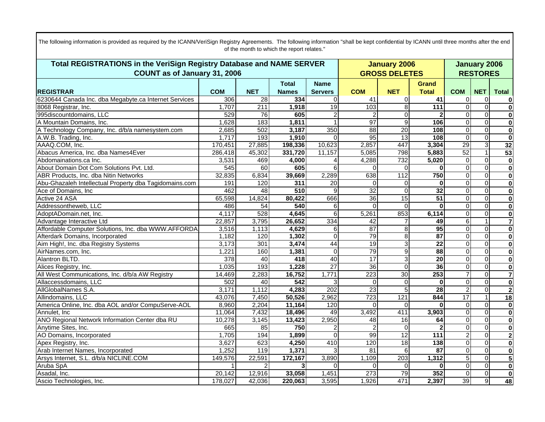| Total REGISTRATIONS in the VeriSign Registry Database and NAME SERVER |                  |                |                  |                  |                  | <b>January 2006</b>  |                  |                |                 | <b>January 2006</b>     |
|-----------------------------------------------------------------------|------------------|----------------|------------------|------------------|------------------|----------------------|------------------|----------------|-----------------|-------------------------|
| COUNT as of January 31, 2006                                          |                  |                |                  |                  |                  | <b>GROSS DELETES</b> |                  |                | <b>RESTORES</b> |                         |
|                                                                       |                  |                | <b>Total</b>     | <b>Name</b>      |                  |                      | <b>Grand</b>     |                |                 |                         |
| <b>IREGISTRAR</b>                                                     | <b>COM</b>       | <b>NET</b>     | <b>Names</b>     | <b>Servers</b>   | <b>COM</b>       | <b>NET</b>           | <b>Total</b>     | <b>COM</b>     | <b>NET</b>      | <b>Total</b>            |
| 6230644 Canada Inc. dba Megabyte.ca Internet Services                 | 306              | 28             | 334              |                  | 41               | $\overline{0}$       | 41               | 0              | 0               | 0                       |
| 8068 Registrar, Inc.                                                  | 1,707            | 211            | 1,918            | 19               | 103              | 8                    | 111              | $\Omega$       | $\overline{0}$  | $\overline{\mathbf{0}}$ |
| 995discountdomains, LLC                                               | 529              | 76             | 605              |                  | 2                | $\Omega$             | $\mathbf{2}$     | $\Omega$       | $\mathbf 0$     | $\mathbf{0}$            |
| A Mountain Domains, Inc.                                              | 1,628            | 183            | 1,811            |                  | 97               | 9                    | 106              | $\Omega$       | $\Omega$        | $\overline{\mathbf{0}}$ |
| A Technology Company, Inc. d/b/a namesystem.com                       | 2,685            | 502            | 3,187            | 350              | 88               | 20                   | 108              | $\Omega$       | $\overline{0}$  | $\overline{\mathbf{0}}$ |
| A.W.B. Trading, Inc.                                                  | 1,717            | 193            | 1,910            | $\Omega$         | 95               | $\overline{13}$      | 108              | $\Omega$       | $\overline{0}$  | 0                       |
| AAAQ.COM, Inc.                                                        | 170,451          | 27,885         | 198,336          | 10,623           | 2,857            | 447                  | 3,304            | 29             | $\overline{3}$  | 32                      |
| Abacus America, Inc. dba Names4Ever                                   | 286,418          | 45,302         | 331,720          | 11,157           | 5,085            | 798                  | 5,883            | 52             | $\mathbf{1}$    | 53                      |
| Abdomainations.ca Inc.                                                | 3,531            | 469            | 4,000            |                  | 4,288            | 732                  | 5,020            | $\mathbf 0$    | $\overline{0}$  | $\overline{\mathbf{0}}$ |
| About Domain Dot Com Solutions Pvt. Ltd.                              | 545              | 60             | 605              | 6                | 0                | $\Omega$             | $\bf{0}$         | $\mathbf 0$    | $\overline{0}$  | $\overline{\mathbf{0}}$ |
| ABR Products, Inc. dba Nitin Networks                                 | 32,835           | 6,834          | 39,669           | 2,289            | 638              | 112                  | 750              | $\Omega$       | $\mathbf 0$     | $\overline{\mathbf{0}}$ |
| Abu-Ghazaleh Intellectual Property dba Tagidomains.com                | 191              | 120            | $\overline{311}$ | $\overline{20}$  | $\Omega$         | $\Omega$             | $\bf{0}$         | $\mathbf 0$    | $\mathbf 0$     | $\mathbf{0}$            |
| Ace of Domains, Inc.                                                  | 462              | 48             | 510              | 9                | 32               | $\Omega$             | 32               | $\mathbf 0$    | $\overline{0}$  | $\overline{\mathbf{0}}$ |
| Active 24 ASA                                                         | 65,598           | 14,824         | 80,422           | 666              | 36               | 15                   | 51               | $\Omega$       | $\overline{0}$  | $\mathbf{0}$            |
| Addressontheweb, LLC                                                  | 486              | 54             | 540              | 6                | $\Omega$         | $\Omega$             | $\mathbf 0$      | $\Omega$       | $\mathbf 0$     | $\overline{\mathbf{0}}$ |
| AdoptADomain.net, Inc.                                                | 4,117            | 528            | 4,645            | 6                | 5,261            | 853                  | 6,114            | $\Omega$       | $\Omega$        | $\overline{\mathbf{0}}$ |
| Advantage Interactive Ltd                                             | 22,857           | 3,795          | 26,652           | 334              | 42               |                      | 49               | 6              | $\mathbf{1}$    | $\overline{7}$          |
| Affordable Computer Solutions, Inc. dba WWW.AFFORDA                   | 3,516            | 1,113          | 4,629            | 6                | 87               | 8                    | $\overline{95}$  | $\Omega$       | $\overline{0}$  | $\overline{\mathbf{0}}$ |
| Afterdark Domains, Incorporated                                       | 1,182            | 120            | 1,302            | $\Omega$         | 79               | 8                    | $\overline{87}$  | $\Omega$       | $\mathbf 0$     | $\mathbf{0}$            |
| Aim High!, Inc. dba Registry Systems                                  | 3,173            | 301            | 3,474            | 44               | 19               | 3                    | $\overline{22}$  | $\Omega$       | $\Omega$        | $\overline{\mathbf{0}}$ |
| AirNames.com, Inc.                                                    | 1,221            | 160            | 1,381            | $\Omega$         | 79               | 9                    | 88               | $\mathbf 0$    | $\overline{0}$  | $\mathbf{0}$            |
| Alantron BLTD.                                                        | $\overline{378}$ | 40             | 418              | 40               | $\overline{17}$  | 3                    | $\overline{20}$  | $\Omega$       | $\mathbf 0$     | $\overline{\mathbf{0}}$ |
| Alices Registry, Inc.                                                 | 1,035            | 193            | 1,228            | $\overline{27}$  | 36               | $\Omega$             | 36               | $\Omega$       | $\mathbf 0$     | $\mathbf{0}$            |
| All West Communications, Inc. d/b/a AW Registry                       | 14,469           | 2,283          | 16,752           | 1,771            | $\overline{223}$ | 30                   | 253              | 7              | $\mathbf 0$     | $\overline{7}$          |
| Allaccessdomains, LLC                                                 | 502              | 40             | 542              |                  | 0                | $\Omega$             | $\bf{0}$         | $\mathbf 0$    | $\overline{0}$  | $\overline{\mathbf{0}}$ |
| AllGlobalNames S.A.                                                   | 3,171            | 1,112          | 4,283            | $\overline{202}$ | 23               | 5                    | $\overline{28}$  | $\overline{2}$ | $\overline{0}$  | $\overline{\mathbf{c}}$ |
| Allindomains, LLC                                                     | 43,076           | 7,450          | 50,526           | 2,962            | 723              | 121                  | 844              | 17             | $\mathbf{1}$    | 18                      |
| America Online, Inc. dba AOL and/or CompuServe-AOL                    | 8,960            | 2,204          | 11,164           | 120              | ∩                | $\Omega$             | <sup>0</sup>     | $\mathbf 0$    | $\overline{0}$  | $\mathbf{0}$            |
| Annulet, Inc.                                                         | 11,064           | 7,432          | 18,496           | 49               | 3,492            | 411                  | 3,903            | $\mathbf 0$    | $\overline{0}$  | $\overline{\mathbf{0}}$ |
| ANO Regional Network Information Center dba RU                        | 10,278           | 3,145          | 13,423           | 2,950            | 48               | $\overline{16}$      | 64               | $\mathbf 0$    | $\mathbf 0$     | 0                       |
| Anytime Sites, Inc.                                                   | 665              | 85             | 750              | 2                | $\overline{2}$   | $\Omega$             | $\mathbf{2}$     | $\mathbf 0$    | $\overline{0}$  | $\overline{\mathbf{0}}$ |
| AO Domains, Incorporated                                              | 1,705            | 194            | 1,899            | $\Omega$         | 99               | 12                   | $\overline{111}$ | $\overline{2}$ | $\overline{0}$  | $\overline{2}$          |
| Apex Registry, Inc.                                                   | 3,627            | 623            | 4,250            | 410              | 120              | 18                   | 138              | $\mathbf 0$    | $\overline{0}$  | $\overline{\mathbf{o}}$ |
| Arab Internet Names, Incorporated                                     | 1,252            | 119            | 1,371            |                  | 81               | 6                    | 87               | $\Omega$       | $\overline{0}$  | $\overline{\mathbf{0}}$ |
| Arsys Internet, S.L. d/b/a NICLINE.COM                                | 149,576          | 22,591         | 172,167          | 3,890            | 1,109            | 203                  | 1,312            | 5              | $\mathbf 0$     | 5                       |
| Aruba SpA                                                             |                  | $\mathfrak{p}$ |                  |                  | $\Omega$         | $\Omega$             | $\bf{0}$         | $\mathbf 0$    | $\Omega$        | $\overline{\mathbf{0}}$ |
| Asadal, Inc.                                                          | 20,142           | 12,916         | 33,058           | 1,451            | 273              | 79                   | 352              | $\overline{0}$ | $\overline{0}$  | 0                       |
| Ascio Technologies, Inc.                                              | 178,027          | 42,036         | 220,063          | 3,595            | 1,926            | 471                  | 2,397            | 39             | $\overline{9}$  | 48                      |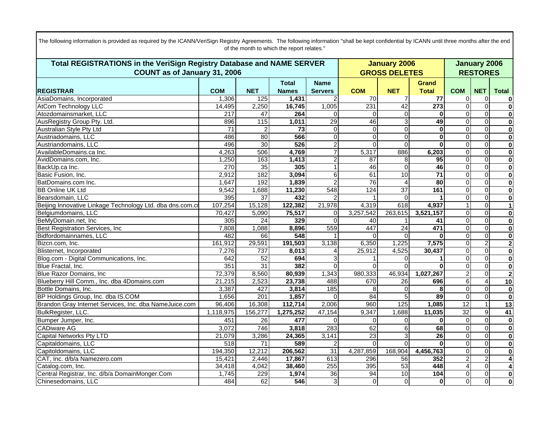| Total REGISTRATIONS in the VeriSign Registry Database and NAME SERVER |                 |                 |              |                 |                 | <b>January 2006</b>  |                 |                 |                         | <b>January 2006</b>     |  |  |
|-----------------------------------------------------------------------|-----------------|-----------------|--------------|-----------------|-----------------|----------------------|-----------------|-----------------|-------------------------|-------------------------|--|--|
| <b>COUNT as of January 31, 2006</b>                                   |                 |                 |              |                 |                 | <b>GROSS DELETES</b> |                 |                 | <b>RESTORES</b>         |                         |  |  |
|                                                                       |                 |                 | <b>Total</b> | <b>Name</b>     |                 |                      | <b>Grand</b>    |                 |                         |                         |  |  |
| <b>REGISTRAR</b>                                                      | <b>COM</b>      | <b>NET</b>      | <b>Names</b> | <b>Servers</b>  | <b>COM</b>      | <b>NET</b>           | <b>Total</b>    | <b>COM</b>      | <b>NET</b>              | <b>Total</b>            |  |  |
| AsiaDomains, Incorporated                                             | 1,306           | 125             | 1,431        |                 | 70              |                      | 77              | $\mathbf 0$     | 0                       | 0                       |  |  |
| <b>AtCom Technology LLC</b>                                           | 14,495          | 2,250           | 16,745       | 1,005           | 231             | 42                   | 273             | $\Omega$        | $\mathbf 0$             | $\mathbf 0$             |  |  |
| Atozdomainsmarket, LLC                                                | 217             | 47              | 264          | $\Omega$        | $\overline{0}$  | $\Omega$             | $\mathbf{0}$    | $\overline{0}$  | $\overline{0}$          | $\bf{0}$                |  |  |
| AusRegistry Group Pty. Ltd.                                           | 896             | 115             | 1,011        | 29              | 46              | $\overline{3}$       | 49              | $\mathbf 0$     | $\mathbf 0$             | $\bf{0}$                |  |  |
| Australian Style Pty Ltd                                              | $\overline{71}$ | $\overline{c}$  | 73           | $\overline{0}$  | $\overline{0}$  | $\Omega$             | $\bf{0}$        | $\mathbf 0$     | $\mathbf 0$             | $\bf{0}$                |  |  |
| Austriadomains, LLC                                                   | 486             | 80              | 566          | $\overline{0}$  | $\Omega$        | $\Omega$             | $\bf{0}$        | $\Omega$        | $\mathbf 0$             | $\overline{\mathbf{0}}$ |  |  |
| Austriandomains, LLC                                                  | 496             | 30              | 526          | $\overline{2}$  | $\Omega$        | $\Omega$             | $\bf{0}$        | $\mathbf 0$     | $\mathbf 0$             | $\bf{0}$                |  |  |
| AvailableDomains.ca Inc.                                              | 4,263           | 506             | 4,769        | $\overline{7}$  | 5,317           | 886                  | 6,203           | Ō               | $\overline{\mathbf{0}}$ | $\overline{\mathbf{0}}$ |  |  |
| AvidDomains.com, Inc.                                                 | 1,250           | 163             | 1,413        | $\overline{2}$  | 87              | 8                    | 95              | $\mathbf 0$     | $\mathbf 0$             | $\overline{\mathbf{0}}$ |  |  |
| BackUp.ca Inc.                                                        | 270             | 35              | 305          | 1               | 46              | $\Omega$             | 46              | $\mathbf 0$     | $\mathbf 0$             | $\overline{\mathbf{0}}$ |  |  |
| Basic Fusion, Inc.                                                    | 2,912           | 182             | 3,094        | 6               | 61              | 10                   | $\overline{71}$ | $\overline{0}$  | $\Omega$                | $\mathbf 0$             |  |  |
| BatDomains.com Inc.                                                   | 1,647           | 192             | 1,839        | $\overline{2}$  | 76              | 4                    | 80              | $\mathbf 0$     | $\mathbf 0$             | $\overline{\mathbf{0}}$ |  |  |
| <b>BB Online UK Ltd</b>                                               | 9,542           | 1,688           | 11,230       | 548             | 124             | $\overline{37}$      | 161             | $\overline{0}$  | $\mathbf 0$             | $\overline{\mathbf{0}}$ |  |  |
| Bearsdomain, LLC                                                      | 395             | $\overline{37}$ | 432          |                 |                 |                      |                 | $\Omega$        | $\mathbf 0$             | $\overline{\mathbf{0}}$ |  |  |
| Beijing Innovative Linkage Technology Ltd. dba dns.com.c              | 107,254         | 15,128          | 122,382      | 21,978          | 4,319           | 618                  | 4,937           | $\mathbf{1}$    | $\Omega$                | $\mathbf{1}$            |  |  |
| Belgiumdomains, LLC                                                   | 70,427          | 5,090           | 75,517       | $\Omega$        | 3,257,542       | 263,615              | 3,521,157       | $\mathbf 0$     | $\mathbf 0$             | $\bf{0}$                |  |  |
| BeMyDomain.net, Inc                                                   | 305             | $\overline{24}$ | 329          | $\Omega$        | 40              |                      | 41              | $\mathbf 0$     | $\overline{\mathbf{0}}$ | $\overline{\mathbf{0}}$ |  |  |
| Best Registration Services, Inc                                       | 7,808           | 1,088           | 8,896        | 559             | 447             | $\overline{24}$      | 471             | $\Omega$        | $\Omega$                | $\overline{\mathbf{0}}$ |  |  |
| Bidfordomainnames, LLC                                                | 482             | 66              | 548          |                 | ሰ               |                      | $\Omega$        | $\mathbf 0$     | $\mathbf 0$             | $\overline{\mathbf{0}}$ |  |  |
| Bizcn.com. Inc.                                                       | 161,912         | 29,591          | 191,503      | 3,138           | 6,350           | 1,225                | 7,575           | $\mathbf 0$     | $\overline{2}$          | $\overline{2}$          |  |  |
| Blisternet, Incorporated                                              | 7,276           | 737             | 8,013        |                 | 25,912          | 4,525                | 30,437          | $\Omega$        | $\mathbf 0$             | $\bf{0}$                |  |  |
| Blog.com - Digital Communications, Inc.                               | 642             | 52              | 694          | 3               |                 |                      |                 | $\mathbf 0$     | $\mathbf 0$             | $\bf{0}$                |  |  |
| Blue Fractal, Inc.                                                    | 351             | $\overline{31}$ | 382          | $\Omega$        | $\Omega$        |                      | $\bf{0}$        | $\Omega$        | $\Omega$                | $\mathbf 0$             |  |  |
| Blue Razor Domains, Inc.                                              | 72,379          | 8,560           | 80,939       | 1,343           | 980,333         | 46,934               | 1,027,267       | $\overline{c}$  | $\mathbf 0$             | $\overline{2}$          |  |  |
| Blueberry Hill Comm., Inc. dba 4Domains.com                           | 21,215          | 2,523           | 23,738       | 488             | 670             | $\overline{26}$      | 696             | 6               | $\overline{4}$          | 10                      |  |  |
| Bottle Domains, Inc.                                                  | 3,387           | 427             | 3,814        | 185             | 8               | 0                    | 8               | $\mathbf 0$     | $\Omega$                | $\bf{0}$                |  |  |
| BP Holdings Group, Inc. dba IS.COM                                    | 1,656           | 201             | 1,857        | $\Omega$        | 84              |                      | 89              | $\Omega$        | $\Omega$                | $\bf{0}$                |  |  |
| Brandon Gray Internet Services, Inc. dba NameJuice.com                | 96,406          | 16,308          | 112,714      | 2,006           | 960             | 125                  | 1,085           | $\overline{12}$ |                         | 13                      |  |  |
| BulkRegister, LLC.                                                    | 1,118,975       | 156,277         | 1,275,252    | 47,154          | 9,347           | 1,688                | 11,035          | $\overline{32}$ | $\boldsymbol{9}$        | 41                      |  |  |
| Bumper Jumper, Inc.                                                   | 451             | 26              | 477          | $\Omega$        | $\Omega$        | $\Omega$             | $\bf{0}$        | $\overline{0}$  | $\overline{0}$          | $\mathbf 0$             |  |  |
| <b>CADiware AG</b>                                                    | 3,072           | 746             | 3,818        | 283             | 62              | 6                    | 68              | $\mathbf 0$     | $\mathbf 0$             | $\bf{0}$                |  |  |
| <b>Capital Networks Pty LTD</b>                                       | 21,079          | 3,286           | 24,365       | 3,141           | $\overline{23}$ | $\overline{3}$       | $\overline{26}$ | $\mathbf 0$     | $\mathbf 0$             | $\bf{0}$                |  |  |
| Capitaldomains, LLC                                                   | 518             | 71              | 589          | 2               | $\Omega$        | $\Omega$             | $\bf{0}$        | $\Omega$        | $\mathbf 0$             | $\overline{\mathbf{0}}$ |  |  |
| Capitoldomains, LLC                                                   | 194,350         | 12,212          | 206,562      | 31              | 4,287,859       | 168,904              | 4,456,763       | $\mathbf 0$     | $\mathbf 0$             | $\mathbf 0$             |  |  |
| CAT, Inc. d/b/a Namezero.com                                          | 15,421          | 2,446           | 17,867       | 613             | 296             | 56                   | 352             | $\overline{2}$  | $\overline{2}$          | 4                       |  |  |
| Catalog.com, Inc.                                                     | 34,418          | 4,042           | 38,460       | 255             | 395             | 53                   | 448             | 4               | $\overline{\mathbf{0}}$ | 4                       |  |  |
| Central Registrar, Inc. d/b/a DomainMonger.Com                        | 1,745           | 229             | 1,974        | $\overline{36}$ | 94              | 10                   | 104             | $\overline{0}$  | $\overline{0}$          | $\bf{0}$                |  |  |
| Chinesedomains, LLC                                                   | 484             | 62              | 546          | 3 <sup>l</sup>  | $\mathbf 0$     | $\Omega$             | $\bf{0}$        | $\overline{0}$  | $\mathbf 0$             | $\overline{\mathbf{0}}$ |  |  |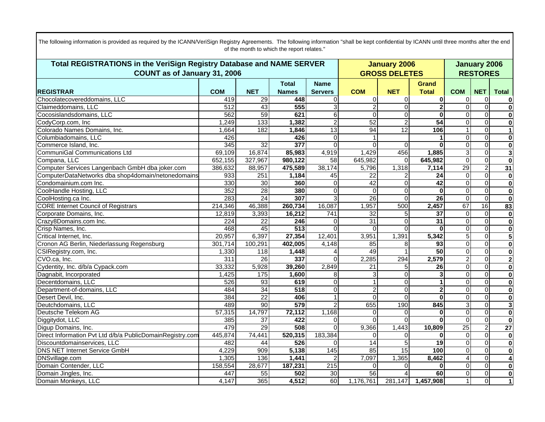| Total REGISTRATIONS in the VeriSign Registry Database and NAME SERVER |                     |                 |              |                  |                 | <b>January 2006</b>  |                 |                 |                         | <b>January 2006</b>     |
|-----------------------------------------------------------------------|---------------------|-----------------|--------------|------------------|-----------------|----------------------|-----------------|-----------------|-------------------------|-------------------------|
| COUNT as of January 31, 2006                                          |                     |                 |              |                  |                 | <b>GROSS DELETES</b> |                 | <b>RESTORES</b> |                         |                         |
|                                                                       |                     |                 | <b>Total</b> | <b>Name</b>      |                 |                      | <b>Grand</b>    |                 |                         |                         |
| <b>REGISTRAR</b>                                                      | <b>COM</b>          | <b>NET</b>      | <b>Names</b> | <b>Servers</b>   | <b>COM</b>      | <b>NET</b>           | <b>Total</b>    | <b>COM</b>      | <b>NET</b>              | <b>Total</b>            |
| Chocolatecovereddomains, LLC                                          | 419                 | 29              | 448          | 0                | $\overline{0}$  | $\Omega$             | 0               | 0               | $\mathbf 0$             | $\mathbf{0}$            |
| Claimeddomains, LLC                                                   | $\overline{512}$    | 43              | 555          | 3                | $\overline{2}$  | $\Omega$             | $\mathbf 2$     | $\overline{0}$  | $\overline{\mathsf{o}}$ | $\overline{\mathbf{0}}$ |
| Cocosislandsdomains, LLC                                              | 562                 | 59              | 621          | $6 \mid$         | $\Omega$        | $\Omega$             | $\bf{0}$        | $\mathbf{0}$    | $\Omega$                | $\mathbf{0}$            |
| CodyCorp.com, Inc                                                     | 1,249               | 133             | 1,382        | $\overline{2}$   | 52              | $\overline{c}$       | $\overline{54}$ | $\overline{0}$  | $\overline{0}$          | $\overline{\mathbf{0}}$ |
| Colorado Names Domains, Inc.                                          | 1,664               | 182             | 1,846        | 13               | 94              | 12                   | 106             | 1               | $\overline{0}$          | $\mathbf{1}$            |
| Columbiadomains, LLC                                                  | 426                 |                 | 426          | $\Omega$         |                 |                      | 1               | $\Omega$        | $\overline{0}$          | $\overline{\mathbf{0}}$ |
| Commerce Island, Inc.                                                 | 345                 | 32              | 377          | $\Omega$         | 0               | $\Omega$             | $\bf{0}$        | $\mathbf{0}$    | $\mathbf 0$             | $\mathbf{0}$            |
| CommuniGal Communications Ltd                                         | $\overline{69,109}$ | 16,874          | 85,983       | 4,919            | 1,429           | 456                  | 1,885           | 3               | $\mathbf 0$             | $\mathbf{3}$            |
| Compana, LLC                                                          | 652,155             | 327,967         | 980,122      | 58               | 645,982         | $\Omega$             | 645,982         | $\mathbf 0$     | $\overline{\mathsf{o}}$ | $\overline{\mathbf{0}}$ |
| Computer Services Langenbach GmbH dba joker.com                       | 386,632             | 88,957          | 475,589      | 38,174           | 5,796           | 1,318                | 7,114           | 29              | $\overline{c}$          | 31                      |
| ComputerDataNetworks dba shop4domain/netonedomains                    | 933                 | 251             | 1,184        | 45               | 22              |                      | 24              | $\mathbf 0$     | $\overline{0}$          | $\mathbf{0}$            |
| Condomainium.com Inc.                                                 | 330                 | 30              | 360          | $\Omega$         | 42              | 0                    | 42              | $\overline{0}$  | $\Omega$                | $\overline{\mathbf{0}}$ |
| CoolHandle Hosting, LLC                                               | 352                 | $\overline{28}$ | 380          | $\Omega$         | $\Omega$        | $\Omega$             | $\bf{0}$        | $\mathbf 0$     | $\overline{0}$          | $\overline{\mathbf{0}}$ |
| CoolHosting.ca Inc.                                                   | 283                 | $\overline{24}$ | 307          | 3                | $\overline{26}$ | $\Omega$             | 26              | $\Omega$        | $\overline{\mathsf{o}}$ | $\mathbf{0}$            |
| <b>CORE Internet Council of Registrars</b>                            | 214,346             | 46,388          | 260,734      | 16,087           | 1,957           | 500                  | 2,457           | 67              | $\overline{16}$         | 83                      |
| Corporate Domains, Inc.                                               | 12,819              | 3,393           | 16,212       | 741              | 32              | 5                    | $\overline{37}$ | $\mathbf 0$     | $\mathbf 0$             | $\mathbf{0}$            |
| Crazy8Domains.com Inc.                                                | 224                 | 22              | 246          | $\Omega$         | 31              | $\Omega$             | 31              | $\mathbf 0$     | $\overline{\mathbf{0}}$ | $\overline{\mathbf{0}}$ |
| Crisp Names, Inc.                                                     | 468                 | 45              | 513          | $\Omega$         | $\Omega$        | $\Omega$             | $\bf{0}$        | $\overline{0}$  | $\overline{\mathsf{o}}$ | $\overline{\mathbf{0}}$ |
| Critical Internet, Inc.                                               | 20,957              | 6,397           | 27,354       | 12,401           | 3,951           | 1,391                | 5,342           | 5               | $\overline{0}$          | 5                       |
| Cronon AG Berlin, Niederlassung Regensburg                            | 301,714             | 100,291         | 402,005      | 4,148            | 85              | 8                    | 93              | $\overline{0}$  | $\Omega$                | $\overline{\mathbf{0}}$ |
| CSIRegistry.com, Inc.                                                 | 1,330               | 118             | 1,448        |                  | 49              |                      | 50              | 0               | $\overline{0}$          | 0                       |
| CVO.ca, Inc.                                                          | 311                 | $\overline{26}$ | 337          | $\Omega$         | 2,285           | 294                  | 2,579           | $\overline{2}$  | $\overline{0}$          | $\overline{\mathbf{c}}$ |
| Cydentity, Inc. d/b/a Cypack.com                                      | 33,332              | 5,928           | 39,260       | 2,849            | $\overline{21}$ | 5                    | 26              | 0               | $\overline{0}$          | $\mathbf{0}$            |
| Dagnabit, Incorporated                                                | 1,425               | 175             | 1,600        | 8                | 3               | $\Omega$             | 3               | $\overline{0}$  | $\overline{0}$          | $\overline{\mathbf{0}}$ |
| Decentdomains, LLC                                                    | 526                 | 93              | 619          | 0                | $\mathbf 1$     | $\overline{0}$       | 1               | 0               | $\overline{0}$          | $\overline{\mathbf{0}}$ |
| Department-of-domains, LLC                                            | 484                 | 34              | 518          | $\Omega$         | $\overline{c}$  | $\Omega$             | $\mathbf 2$     | $\overline{0}$  | $\overline{0}$          | $\overline{\mathbf{0}}$ |
| Desert Devil, Inc.                                                    | 384                 | $\overline{22}$ | 406          |                  | $\Omega$        | $\Omega$             | $\bf{0}$        | 0               | $\overline{0}$          | $\overline{\mathbf{0}}$ |
| Deutchdomains, LLC                                                    | 489                 | 90              | 579          | 2                | 655             | 190                  | 845             | 3               | $\overline{0}$          | دى                      |
| Deutsche Telekom AG                                                   | 57,315              | 14,797          | 72,112       | 1,168            | $\overline{0}$  | 0                    | $\bf{0}$        | 0               | $\overline{0}$          | $\overline{\mathbf{0}}$ |
| Diggitydot, LLC                                                       | 385                 | $\overline{37}$ | 422          | $\Omega$         | $\Omega$        | $\Omega$             | $\bf{0}$        | $\Omega$        | $\overline{0}$          | $\overline{\mathbf{0}}$ |
| Digup Domains, Inc.                                                   | 479                 | $\overline{29}$ | 508          | $\Omega$         | 9,366           | 1,443                | 10,809          | $\overline{25}$ | $\overline{2}$          | $\overline{27}$         |
| Direct Information Pvt Ltd d/b/a PublicDomainRegistry.com             | 445,874             | 74,441          | 520,315      | 183,384          | $\Omega$        | $\Omega$             | $\bf{0}$        | $\mathbf 0$     | $\overline{0}$          | 0                       |
| Discountdomainservices, LLC                                           | 482                 | 44              | 526          | 0                | 14              | 5                    | $\overline{19}$ | $\mathbf 0$     | $\overline{0}$          | $\overline{\mathbf{0}}$ |
| <b>DNS NET Internet Service GmbH</b>                                  | 4,229               | 909             | 5,138        | 145              | 85              | 15                   | 100             | $\overline{0}$  | $\overline{0}$          | $\overline{\mathbf{0}}$ |
| <b>DNSvillage.com</b>                                                 | 1,305               | 136             | 1,441        | $\mathcal{P}$    | 7,097           | 1,365                | 8,462           | 4               | $\overline{0}$          | $\overline{\mathbf{4}}$ |
| Domain Contender, LLC                                                 | 158,554             | 28,677          | 187,231      | $\overline{215}$ | $\Omega$        |                      | $\bf{0}$        | 0               | $\overline{0}$          | $\overline{\mathbf{0}}$ |
| Domain Jingles, Inc.                                                  | 447                 | 55              | 502          | 30               | 56              |                      | 60              | 0               | $\overline{0}$          | 0                       |
| Domain Monkeys, LLC                                                   | 4,147               | 365             | 4,512        | 60               | 1,176,761       | 281,147              | 1,457,908       | 1               | $\overline{0}$          | $\vert$ 1               |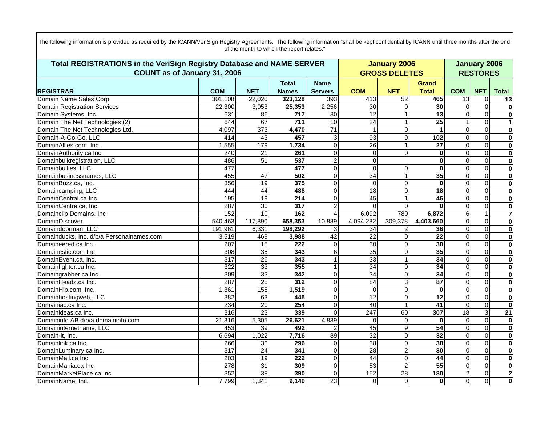| Total REGISTRATIONS in the VeriSign Registry Database and NAME SERVER | <b>January 2006</b> | <b>January 2006</b> |                  |                 |                 |                      |                 |                 |                         |                         |
|-----------------------------------------------------------------------|---------------------|---------------------|------------------|-----------------|-----------------|----------------------|-----------------|-----------------|-------------------------|-------------------------|
| COUNT as of January 31, 2006                                          |                     |                     |                  |                 |                 | <b>GROSS DELETES</b> |                 | <b>RESTORES</b> |                         |                         |
|                                                                       |                     |                     | <b>Total</b>     | <b>Name</b>     |                 |                      | Grand           |                 |                         |                         |
| <b>REGISTRAR</b>                                                      | <b>COM</b>          | <b>NET</b>          | <b>Names</b>     | <b>Servers</b>  | <b>COM</b>      | <b>NET</b>           | <b>Total</b>    | <b>COM</b>      | <b>NET</b>              | <b>Total</b>            |
| Domain Name Sales Corp.                                               | 301.108             | 22,020              | 323,128          | 393             | 413             | 52                   | 465             | 13              | $\mathbf 0$             | 13                      |
| <b>Domain Registration Services</b>                                   | 22,300              | 3,053               | 25,353           | 2,256           | 30              | 0                    | 30              | $\Omega$        | $\overline{0}$          | $\overline{\mathbf{o}}$ |
| Domain Systems, Inc.                                                  | 631                 | 86                  | 717              | 30              | 12              |                      | 13              | $\Omega$        | $\Omega$                | $\bf{0}$                |
| Domain The Net Technologies (2)                                       | 644                 | 67                  | 711              | 10              | $\overline{24}$ |                      | $\overline{25}$ |                 | $\overline{0}$          | $\overline{1}$          |
| Domain The Net Technologies Ltd.                                      | 4,097               | $\overline{373}$    | 4,470            | $\overline{71}$ | -1              | 0                    | 1               | $\Omega$        | $\mathbf 0$             | $\bf{0}$                |
| Domain-A-Go-Go, LLC                                                   | 414                 | 43                  | 457              | 3 <sup>1</sup>  | 93              | 9                    | 102             | $\Omega$        | $\mathbf 0$             | $\bf{0}$                |
| DomainAllies.com, Inc.                                                | 1,555               | 179                 | 1,734            | $\Omega$        | 26              |                      | $\overline{27}$ | $\overline{0}$  | $\mathbf 0$             | $\overline{\mathbf{0}}$ |
| DomainAuthority.ca Inc.                                               | 240                 | $\overline{21}$     | 261              | $\overline{0}$  | $\Omega$        | $\Omega$             | $\bf{0}$        | $\overline{0}$  | $\mathbf 0$             | $\bf{0}$                |
| Domainbulkregistration, LLC                                           | 486                 | 51                  | $\overline{537}$ | $\overline{2}$  | $\overline{0}$  |                      | $\bf{0}$        | 0               | $\mathbf 0$             | $\bf{0}$                |
| Domainbullies, LLC                                                    | 477                 |                     | 477              | $\Omega$        | $\overline{0}$  | $\Omega$             | $\mathbf 0$     | $\mathbf 0$     | $\overline{0}$          | $\overline{\mathbf{0}}$ |
| Domainbusinessnames, LLC                                              | 455                 | 47                  | 502              | $\Omega$        | $\overline{34}$ |                      | 35              | $\Omega$        | $\mathbf 0$             | $\overline{\mathbf{0}}$ |
| DomainBuzz.ca, Inc.                                                   | 356                 | 19                  | 375              | $\Omega$        | $\mathbf 0$     | $\Omega$             | $\bf{0}$        | $\Omega$        | $\mathbf 0$             | $\overline{\mathbf{0}}$ |
| Domaincamping, LLC                                                    | 444                 | 44                  | 488              | $\Omega$        | 18              | $\Omega$             | $\overline{18}$ | 0               | $\mathbf 0$             | $\bf{0}$                |
| DomainCentral.ca Inc.                                                 | 195                 | 19                  | 214              | $\Omega$        | 45              |                      | 46              | $\Omega$        | $\overline{0}$          | $\overline{\mathbf{0}}$ |
| DomainCentre.ca, Inc.                                                 | 287                 | 30                  | 317              | $\overline{2}$  | $\Omega$        | $\Omega$             | <sup>0</sup>    | $\Omega$        | $\Omega$                | $\overline{\mathbf{0}}$ |
| Domainclip Domains, Inc                                               | 152                 | 10                  | 162              | $\overline{4}$  | 6,092           | 780                  | 6,872           | 6               | $\mathbf{1}$            | $\overline{\mathbf{z}}$ |
| DomainDiscover                                                        | 540,463             | 117,890             | 658,353          | 10,889          | 4,094,282       | 309,378              | 4,403,660       | 0               | $\mathbf 0$             | $\overline{\mathbf{0}}$ |
| Domaindoorman, LLC                                                    | 191,961             | 6,331               | 198,292          | 3               | $\overline{34}$ |                      | 36              | $\mathbf 0$     | $\overline{0}$          | $\overline{\mathbf{0}}$ |
| Domainducks, Inc. d/b/a Personalnames.com                             | 3,519               | 469                 | 3,988            | 42              | $\overline{22}$ | $\Omega$             | $\overline{22}$ | $\Omega$        | $\Omega$                | $\overline{\mathbf{0}}$ |
| Domaineered.ca Inc.                                                   | 207                 | 15                  | $\overline{222}$ | $\Omega$        | 30              | $\Omega$             | 30              | $\overline{0}$  | $\overline{\mathsf{o}}$ | $\bf{0}$                |
| Domainestic.com Inc                                                   | 308                 | 35                  | 343              | 6               | 35              | O                    | $\overline{35}$ | $\Omega$        | $\mathbf 0$             | $\overline{\mathbf{0}}$ |
| DomainEvent.ca, Inc.                                                  | 317                 | 26                  | 343              |                 | 33              |                      | $\overline{34}$ | $\Omega$        | $\overline{0}$          | $\overline{\mathbf{0}}$ |
| Domainfighter.ca Inc.                                                 | 322                 | 33                  | 355              |                 | 34              | $\Omega$             | $\overline{34}$ | $\Omega$        | $\Omega$                | $\overline{\mathbf{0}}$ |
| Domaingrabber.ca Inc.                                                 | 309                 | 33                  | 342              | $\Omega$        | 34              | 0                    | 34              | $\Omega$        | $\mathbf 0$             | $\bf{0}$                |
| DomainHeadz.ca Inc.                                                   | 287                 | $\overline{25}$     | 312              | $\Omega$        | 84              | 3                    | 87              | $\Omega$        | $\mathbf 0$             | $\bf{0}$                |
| DomainHip.com, Inc.                                                   | 1,361               | 158                 | 1,519            | $\Omega$        | $\mathbf 0$     | 0                    | $\bf{0}$        | 0               | $\overline{0}$          | $\overline{\mathbf{0}}$ |
| Domainhostingweb, LLC                                                 | 382                 | 63                  | 445              | $\Omega$        | $\overline{12}$ | $\Omega$             | $\overline{12}$ | $\overline{0}$  | $\mathbf 0$             | $\overline{\mathbf{0}}$ |
| Domainiac.ca Inc.                                                     | 234                 | 20                  | 254              | $\Omega$        | 40              |                      | 41              | 0               | $\mathbf 0$             | $\overline{\mathbf{0}}$ |
| Domainideas.ca Inc.                                                   | 316                 | $\overline{23}$     | 339              | $\Omega$        | 247             | 60                   | 307             | 18              | ω                       | $\overline{21}$         |
| Domaininfo AB d/b/a domaininfo.com                                    | 21,316              | 5,305               | 26,621           | 4,839           | $\Omega$        | 0                    | $\bf{0}$        | $\Omega$        | $\overline{0}$          | $\overline{\mathbf{0}}$ |
| Domaininternetname, LLC                                               | 453                 | 39                  | 492              | $\mathcal{P}$   | 45              | 9                    | $\overline{54}$ | $\Omega$        | $\mathbf 0$             | $\overline{\mathbf{0}}$ |
| Domain-it, Inc.                                                       | 6,694               | 1,022               | 7,716            | 89              | 32              | $\Omega$             | 32              | $\Omega$        | $\overline{0}$          | $\overline{\mathbf{0}}$ |
| Domainlink.ca Inc.                                                    | 266                 | $\overline{30}$     | 296              | $\Omega$        | 38              | $\Omega$             | 38              | $\Omega$        | $\mathbf 0$             | $\overline{\mathbf{0}}$ |
| DomainLuminary.ca Inc.                                                | 317                 | 24                  | 341              | $\Omega$        | 28              | $\overline{2}$       | 30              | $\overline{0}$  | $\overline{0}$          | $\overline{\mathbf{0}}$ |
| DomainMall.ca Inc                                                     | $\overline{203}$    | 19                  | 222              | $\Omega$        | 44              | $\Omega$             | 44              | $\Omega$        | $\mathbf 0$             | $\overline{\mathbf{0}}$ |
| DomainMania.ca Inc                                                    | $\overline{278}$    | $\overline{31}$     | 309              | $\Omega$        | $\overline{53}$ |                      | 55              | $\Omega$        | $\Omega$                | $\overline{\mathbf{0}}$ |
| DomainMarketPlace.ca Inc                                              | 352                 | 38                  | 390              | $\Omega$        | 152             | $\overline{28}$      | 180             | $\overline{c}$  | $\mathbf 0$             | $\overline{2}$          |
| DomainName, Inc.                                                      | 7,799               | 1,341               | 9,140            | 23              | $\overline{0}$  | $\Omega$             | $\mathbf{0}$    | $\Omega$        | $\Omega$                | $\mathbf 0$             |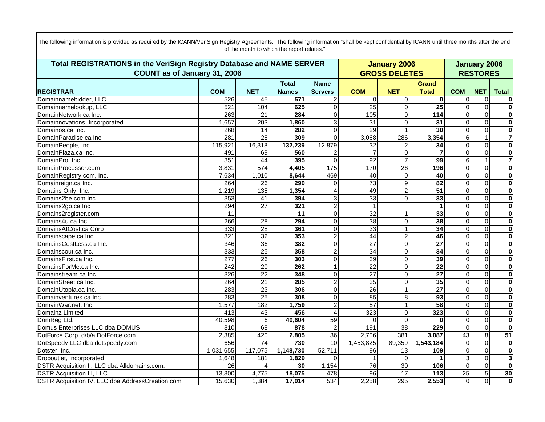| Total REGISTRATIONS in the VeriSign Registry Database and NAME SERVER | <b>January 2006</b> | <b>January 2006</b> |                  |                |                 |                      |                 |                 |                         |                         |
|-----------------------------------------------------------------------|---------------------|---------------------|------------------|----------------|-----------------|----------------------|-----------------|-----------------|-------------------------|-------------------------|
| COUNT as of January 31, 2006                                          |                     |                     |                  |                |                 | <b>GROSS DELETES</b> |                 |                 | <b>RESTORES</b>         |                         |
|                                                                       |                     |                     | <b>Total</b>     | <b>Name</b>    |                 |                      | Grand           |                 |                         |                         |
| <b>REGISTRAR</b>                                                      | <b>COM</b>          | <b>NET</b>          | <b>Names</b>     | <b>Servers</b> | <b>COM</b>      | <b>NET</b>           | <b>Total</b>    | <b>COM</b>      | <b>NET</b>              | <b>Total</b>            |
| Domainnamebidder, LLC                                                 | 526                 | 45                  | $\overline{571}$ |                | $\Omega$        | O                    | 0               | 0               | $\mathbf 0$             | 0                       |
| Domainnamelookup, LLC                                                 | 521                 | 104                 | 625              | $\Omega$       | 25              | $\Omega$             | 25              | $\overline{0}$  | $\overline{0}$          | $\overline{\mathbf{0}}$ |
| DomainNetwork.ca Inc.                                                 | 263                 | $\overline{21}$     | 284              | $\Omega$       | 105             | 9                    | 114             | $\Omega$        | $\mathbf 0$             | $\overline{\mathbf{0}}$ |
| Domainnovations, Incorporated                                         | 1,657               | 203                 | 1,860            | 3              | 31              | $\Omega$             | 31              | $\Omega$        | $\overline{0}$          | $\overline{\mathbf{0}}$ |
| Domainos.ca Inc.                                                      | 268                 | 14                  | 282              | $\Omega$       | 29              |                      | 30              | $\Omega$        | $\mathbf 0$             | $\overline{\mathbf{0}}$ |
| DomainParadise.ca Inc.                                                | 281                 | 28                  | 309              | $\Omega$       | 3,068           | 286                  | 3,354           | 6               | 1                       |                         |
| DomainPeople, Inc.                                                    | 115,921             | 16,318              | 132,239          | 12,879         | 32              |                      | 34              | $\Omega$        | $\Omega$                | $\overline{\mathbf{0}}$ |
| DomainPlaza.ca Inc.                                                   | 491                 | 69                  | 560              |                |                 | O                    |                 | $\Omega$        | $\mathbf 0$             | $\overline{\mathbf{0}}$ |
| DomainPro, Inc.                                                       | 351                 | 44                  | 395              | $\Omega$       | 92              |                      | 99              | 6               | $\mathbf 1$             | $\overline{\mathbf{7}}$ |
| DomainProcessor.com                                                   | 3,831               | 574                 | 4,405            | 175            | 170             | 26                   | 196             | $\overline{0}$  | $\overline{\mathsf{o}}$ | $\overline{\mathbf{0}}$ |
| DomainRegistry.com, Inc.                                              | 7,634               | 1,010               | 8,644            | 469            | 40              | $\Omega$             | 40              | $\Omega$        | $\Omega$                | $\overline{\mathbf{0}}$ |
| Domainreign.ca Inc.                                                   | 264                 | 26                  | 290              | $\Omega$       | 73              | 9                    | $\overline{82}$ | $\Omega$        | $\overline{0}$          | $\overline{\mathbf{0}}$ |
| Domains Only, Inc.                                                    | 1,219               | 135                 | 1,354            |                | 49              | 2                    | $\overline{51}$ | $\Omega$        | $\mathbf 0$             | $\overline{\mathbf{0}}$ |
| Domains2be.com Inc.                                                   | 353                 | 41                  | 394              | 3 <sup>1</sup> | 33              | $\Omega$             | 33              | $\Omega$        | $\overline{0}$          | $\overline{\mathbf{0}}$ |
| Domains2go.ca Inc                                                     | 294                 | $\overline{27}$     | 321              | $\overline{2}$ |                 |                      |                 | 0               | $\Omega$                | $\overline{\mathbf{0}}$ |
| Domains2register.com                                                  | 11                  |                     | 11               | $\overline{0}$ | 32              |                      | 33              | $\Omega$        | $\overline{0}$          | $\overline{\mathbf{0}}$ |
| Domains4u.ca Inc.                                                     | 266                 | 28                  | 294              | $\Omega$       | 38              | 0                    | 38              | $\Omega$        | $\mathbf 0$             | $\overline{\mathbf{0}}$ |
| DomainsAtCost.ca Corp                                                 | 333                 | 28                  | 361              | $\Omega$       | 33              |                      | $\overline{34}$ | $\Omega$        | $\overline{0}$          | $\overline{\mathbf{0}}$ |
| Domainscape.ca Inc                                                    | 321                 | $\overline{32}$     | 353              | $\overline{2}$ | 44              | 2                    | 46              | $\Omega$        | $\Omega$                | $\overline{\mathbf{0}}$ |
| DomainsCostLess.ca Inc.                                               | 346                 | 36                  | 382              | $\Omega$       | $\overline{27}$ | $\Omega$             | $\overline{27}$ | 0               | $\Omega$                | $\overline{\mathbf{0}}$ |
| Domainscout.ca Inc.                                                   | 333                 | 25                  | 358              | $\overline{2}$ | $\overline{34}$ | $\Omega$             | 34              | 0               | $\mathbf 0$             | $\overline{\mathbf{0}}$ |
| DomainsFirst.ca Inc.                                                  | 277                 | 26                  | 303              | $\Omega$       | 39              | $\Omega$             | 39              | $\Omega$        | $\mathbf 0$             | $\overline{\mathbf{0}}$ |
| DomainsForMe.ca Inc.                                                  | $\overline{242}$    | 20                  | 262              | $\vert$ 1      | $\overline{22}$ | $\Omega$             | $\overline{22}$ | 0               | $\mathbf 0$             | $\overline{\mathbf{0}}$ |
| Domainstream.ca Inc.                                                  | 326                 | $\overline{22}$     | 348              | $\overline{0}$ | $\overline{27}$ | $\Omega$             | $\overline{27}$ | $\Omega$        | $\Omega$                | $\overline{\mathbf{0}}$ |
| DomainStreet.ca Inc.                                                  | 264                 | $\overline{21}$     | 285              | $\overline{2}$ | $\overline{35}$ | 0                    | 35              | 0               | $\mathbf 0$             | $\overline{\mathbf{0}}$ |
| DomainUtopia.ca Inc.                                                  | 283                 | 23                  | 306              | $\Omega$       | $\overline{26}$ |                      | $\overline{27}$ | $\Omega$        | $\mathbf 0$             | $\overline{\mathbf{0}}$ |
| Domainventures.ca Inc                                                 | 283                 | 25                  | 308              | $\Omega$       | 85              | 8                    | 93              | 0               | $\mathbf 0$             | $\overline{\mathbf{0}}$ |
| DomainWar.net, Inc                                                    | 1,577               | 182                 | 1,759            | $\overline{2}$ | 57              |                      | $\overline{58}$ | 0               | $\Omega$                | $\overline{\mathbf{0}}$ |
| Domainz Limited                                                       | 413                 | $\overline{43}$     | 456              | $\overline{4}$ | 323             | 0                    | 323             | 0               | $\mathbf 0$             | $\overline{\mathbf{0}}$ |
| DomReg Ltd.                                                           | 40,598              | 6                   | 40,604           | 59             | $\Omega$        | $\Omega$             | $\bf{0}$        | $\overline{0}$  | $\Omega$                | $\overline{\mathbf{0}}$ |
| Domus Enterprises LLC dba DOMUS                                       | 810                 | 68                  | 878              | $\overline{2}$ | 191             | 38                   | 229             | $\mathbf 0$     | $\mathbf 0$             | $\bf{0}$                |
| DotForce Corp. d/b/a DotForce.com                                     | 2,385               | 420                 | 2,805            | 36             | 2,706           | 381                  | 3,087           | 43              | 8                       | 51                      |
| DotSpeedy LLC dba dotspeedy.com                                       | 656                 | $\overline{74}$     | 730              | 10             | 1,453,825       | 89,359               | 1,543,184       | $\mathbf 0$     | $\mathbf 0$             | $\bf{0}$                |
| Dotster, Inc.                                                         | 1,031,655           | 117,075             | 1,148,730        | 52,711         | 96              | $\overline{13}$      | 109             | $\overline{0}$  | $\mathbf 0$             | $\overline{\mathbf{0}}$ |
| Dropoutlet, Incorporated                                              | 1,648               | 181                 | 1,829            | $\Omega$       | $\mathbf 1$     | $\Omega$             |                 | 3               | $\mathbf 0$             | $\overline{\mathbf{3}}$ |
| DSTR Acquisition II, LLC dba Alldomains.com.                          | $\overline{26}$     |                     | 30               | 1,154          | 76              | $\overline{30}$      | 106             | $\overline{0}$  | $\Omega$                | $\overline{\mathbf{0}}$ |
| <b>DSTR Acquisition III, LLC.</b>                                     | 13,300              | 4,775               | 18,075           | 478            | 96              | 17                   | 113             | $\overline{25}$ | 5                       | 30                      |
| DSTR Acquisition IV, LLC dba AddressCreation.com                      | 15,630              | 1,384               | 17,014           | 534            | 2,258           | 295                  | 2,553           | $\Omega$        | $\overline{0}$          | $\overline{\mathbf{0}}$ |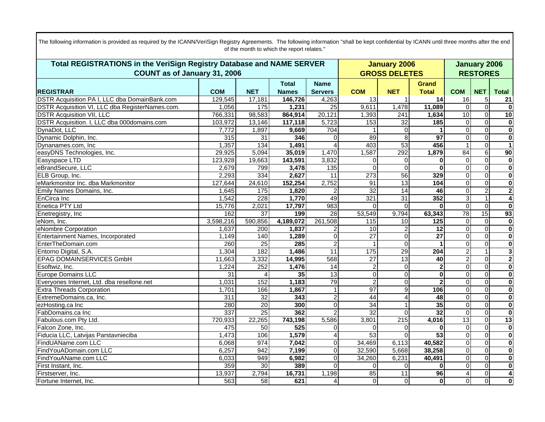| Total REGISTRATIONS in the VeriSign Registry Database and NAME SERVER |            |                 |              |                        |                 | <b>January 2006</b>  |                 |                 |                | <b>January 2006</b>     |  |  |
|-----------------------------------------------------------------------|------------|-----------------|--------------|------------------------|-----------------|----------------------|-----------------|-----------------|----------------|-------------------------|--|--|
| COUNT as of January 31, 2006                                          |            |                 |              |                        |                 | <b>GROSS DELETES</b> |                 | <b>RESTORES</b> |                |                         |  |  |
|                                                                       |            |                 | <b>Total</b> | <b>Name</b>            |                 |                      | <b>Grand</b>    |                 |                |                         |  |  |
| <b>REGISTRAR</b>                                                      | <b>COM</b> | <b>NET</b>      | <b>Names</b> | <b>Servers</b>         | <b>COM</b>      | <b>NET</b>           | <b>Total</b>    | <b>COM</b>      | <b>NET</b>     | <b>Total</b>            |  |  |
| <b>DSTR Acquisition PA I, LLC dba DomainBank.com</b>                  | 129,545    | 17,181          | 146,726      | 4,263                  | 13              |                      | 14              | 16              | $\,$ 5 $\,$    | 21                      |  |  |
| DSTR Acquisition VI, LLC dba RegisterNames.com.                       | 1,056      | 175             | 1,231        | 25                     | 9,611           | 1,478                | 11,089          | $\mathbf 0$     | $\overline{0}$ | $\overline{\mathbf{0}}$ |  |  |
| <b>DSTR Acquisition VII, LLC</b>                                      | 766,331    | 98,583          | 864,914      | 20,121                 | 1,393           | 241                  | 1,634           | 10              | $\overline{0}$ | 10                      |  |  |
| DSTR Acquisition. I, LLC dba 000domains.com                           | 103,972    | 13,146          | 117,118      | 5,723                  | 153             | $\overline{32}$      | 185             | $\mathbf 0$     | $\Omega$       | $\mathbf{0}$            |  |  |
| DynaDot, LLC                                                          | 7,772      | 1,897           | 9,669        | 704                    |                 | $\Omega$             | 1               | $\mathbf 0$     | $\overline{0}$ | $\overline{\mathbf{0}}$ |  |  |
| Dynamic Dolphin, Inc.                                                 | 315        | $\overline{31}$ | 346          | $\Omega$               | 89              | 8                    | 97              | $\mathbf{0}$    | $\mathbf 0$    | $\overline{\mathbf{o}}$ |  |  |
| Dynanames.com, Inc.                                                   | 1,357      | 134             | 1,491        |                        | 403             | 53                   | 456             | $\mathbf{1}$    | $\Omega$       | $\vert$ 1               |  |  |
| easyDNS Technologies, Inc.                                            | 29,925     | 5,094           | 35,019       | 1,470                  | 1,587           | 292                  | 1,879           | $\overline{84}$ | 6              | $\overline{90}$         |  |  |
| Easyspace LTD                                                         | 123,928    | 19,663          | 143,591      | 3,832                  | 0               | $\Omega$             | $\bf{0}$        | $\mathbf 0$     | $\overline{0}$ | $\overline{\mathbf{0}}$ |  |  |
| eBrandSecure, LLC                                                     | 2,679      | 799             | 3,478        | 135                    | 0               | $\Omega$             | $\bf{0}$        | $\mathbf 0$     | $\mathbf 0$    | $\overline{\mathbf{0}}$ |  |  |
| ELB Group, Inc.                                                       | 2,293      | 334             | 2,627        | 11                     | 273             | 56                   | 329             | $\mathbf 0$     | $\mathbf 0$    | $\overline{\mathbf{0}}$ |  |  |
| eMarkmonitor Inc. dba Markmonitor                                     | 127,644    | 24,610          | 152,254      | 2,752                  | 91              | $\overline{13}$      | 104             | $\mathbf 0$     | $\overline{0}$ | $\overline{\mathbf{o}}$ |  |  |
| Emily Names Domains, Inc.                                             | 1,645      | 175             | 1,820        |                        | 32              | 14                   | 46              | $\mathbf 0$     | $\overline{2}$ | $\overline{\mathbf{2}}$ |  |  |
| <b>EnCirca Inc</b>                                                    | 1,542      | 228             | 1,770        | 49                     | 321             | 31                   | 352             | $\overline{3}$  | $\mathbf{1}$   | $\overline{4}$          |  |  |
| <b>Enetica PTY Ltd</b>                                                | 15,776     | 2,021           | 17,797       | 983                    | 0               | $\Omega$             | $\bf{0}$        | $\mathbf 0$     | $\overline{0}$ | $\mathbf{0}$            |  |  |
| Enetregistry, Inc                                                     | 162        | $\overline{37}$ | 199          | 28                     | 53,549          | 9,794                | 63,343          | 78              | 15             | 93                      |  |  |
| eNom, Inc.                                                            | 3,598,216  | 590,856         | 4,189,072    | 261,508                | 115             | 10                   | 125             | $\mathbf 0$     | $\overline{0}$ | $\overline{\mathbf{0}}$ |  |  |
| eNombre Corporation                                                   | 1,637      | 200             | 1,837        |                        | 10              |                      | $\overline{12}$ | $\mathbf 0$     | $\overline{0}$ | $\overline{\mathbf{0}}$ |  |  |
| Entertainment Names, Incorporated                                     | 1,149      | 140             | 1,289        | $\Omega$               | $\overline{27}$ | $\overline{0}$       | $\overline{27}$ | $\mathbf 0$     | $\mathbf 0$    | $\overline{\mathbf{0}}$ |  |  |
| EnterTheDomain.com                                                    | 260        | $\overline{25}$ | 285          | $\overline{2}$         | $\mathbf{1}$    | $\Omega$             | 1               | $\mathbf 0$     | $\mathbf 0$    | $\overline{\mathbf{0}}$ |  |  |
| Entorno Digital, S.A.                                                 | 1,304      | 182             | 1,486        | 11                     | 175             | 29                   | 204             | $\overline{c}$  | $\mathbf{1}$   | $\overline{\mathbf{3}}$ |  |  |
| <b>EPAG DOMAINSERVICES GmbH</b>                                       | 11,663     | 3,332           | 14,995       | 568                    | $\overline{27}$ | 13                   | 40              | $\overline{2}$  | $\mathbf 0$    | $\overline{\mathbf{2}}$ |  |  |
| Esoftwiz, Inc.                                                        | 1,224      | 252             | 1,476        | 14                     | 2               | $\Omega$             | $\mathbf{2}$    | $\Omega$        | $\overline{0}$ | $\overline{\mathbf{0}}$ |  |  |
| <b>Europe Domains LLC</b>                                             | 31         | $\overline{4}$  | 35           | $\overline{13}$        | 0               | $\Omega$             | $\bf{0}$        | $\mathbf{0}$    | $\mathbf 0$    | $\mathbf{0}$            |  |  |
| Everyones Internet, Ltd. dba resellone.net                            | 1,031      | 152             | 1,183        | 79                     | $\overline{2}$  | $\Omega$             | $\mathbf{2}$    | $\mathbf 0$     | $\overline{0}$ | $\overline{\mathbf{0}}$ |  |  |
| <b>Extra Threads Corporation</b>                                      | 1,701      | 166             | 1,867        |                        | 97              | 9                    | 106             | $\mathbf 0$     | $\mathbf 0$    | $\overline{\mathbf{0}}$ |  |  |
| ExtremeDomains.ca, Inc.                                               | 311        | 32              | 343          | 2                      | 44              |                      | 48              | $\mathbf{0}$    | $\mathbf 0$    | $\overline{\mathbf{0}}$ |  |  |
| ezHosting.ca Inc                                                      | 280        | $\overline{20}$ | 300          | $\Omega$               | 34              |                      | 35              | $\mathbf 0$     | $\mathbf 0$    | $\overline{\mathbf{o}}$ |  |  |
| FabDomains.ca Inc                                                     | 337        | $\overline{25}$ | 362          |                        | 32              | $\Omega$             | $\overline{32}$ | $\mathbf 0$     | $\overline{0}$ | $\overline{\mathbf{0}}$ |  |  |
| Fabulous.com Pty Ltd.                                                 | 720,933    | 22,265          | 743,198      | 5,586                  | 3,801           | 215                  | 4,016           | 13              | $\mathbf 0$    | $\overline{13}$         |  |  |
| Falcon Zone, Inc.                                                     | 475        | $\overline{50}$ | 525          | $\Omega$               | $\Omega$        | $\Omega$             | $\bf{0}$        | $\mathbf 0$     | $\overline{0}$ | $\mathbf 0$             |  |  |
| Fiducia LLC, Latvijas Parstavnieciba                                  | 1,473      | 106             | 1,579        | $\boldsymbol{\Lambda}$ | 53              | $\Omega$             | 53              | $\Omega$        | $\overline{0}$ | $\overline{\mathbf{0}}$ |  |  |
| FindUAName.com LLC                                                    | 6,068      | 974             | 7,042        | $\Omega$               | 34,469          | 6,113                | 40,582          | $\mathbf 0$     | $\overline{0}$ | $\overline{\mathbf{0}}$ |  |  |
| FindYouADomain.com LLC                                                | 6,257      | 942             | 7,199        | $\Omega$               | 32,590          | 5,668                | 38,258          | $\overline{0}$  | $\overline{0}$ | $\overline{\mathbf{0}}$ |  |  |
| FindYouAName.com LLC                                                  | 6,033      | 949             | 6,982        | $\Omega$               | 34,260          | 6,231                | 40,491          | $\mathbf 0$     | $\mathbf 0$    | $\overline{\mathbf{0}}$ |  |  |
| First Instant, Inc.                                                   | 359        | 30              | 389          | $\Omega$               | $\Omega$        | $\Omega$             | $\bf{0}$        | $\mathbf 0$     | $\Omega$       | $\overline{\mathbf{0}}$ |  |  |
| Firstserver, Inc.                                                     | 13,937     | 2,794           | 16,731       | 1,198                  | 85              | 11                   | 96              | 4               | $\overline{0}$ | 4                       |  |  |
| Fortune Internet, Inc.                                                | 563        | 58              | 621          | $\overline{4}$         | $\overline{0}$  | $\overline{0}$       | 0               | $\mathbf 0$     | $\overline{0}$ | $\mathbf{0}$            |  |  |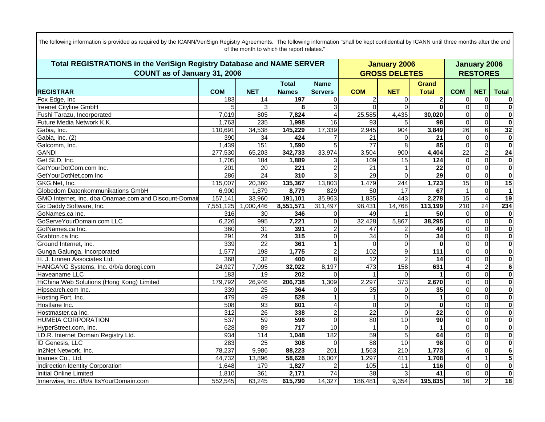| Total REGISTRATIONS in the VeriSign Registry Database and NAME SERVER |            |                 |                  |                        |                      | <b>January 2006</b> |                 |                  |                 | <b>January 2006</b>     |  |  |
|-----------------------------------------------------------------------|------------|-----------------|------------------|------------------------|----------------------|---------------------|-----------------|------------------|-----------------|-------------------------|--|--|
| COUNT as of January 31, 2006                                          |            |                 |                  |                        | <b>GROSS DELETES</b> | <b>RESTORES</b>     |                 |                  |                 |                         |  |  |
|                                                                       |            |                 | <b>Total</b>     | <b>Name</b>            |                      |                     | <b>Grand</b>    |                  |                 |                         |  |  |
| <b>REGISTRAR</b>                                                      | <b>COM</b> | <b>NET</b>      | <b>Names</b>     | <b>Servers</b>         | <b>COM</b>           | <b>NET</b>          | <b>Total</b>    | <b>COM</b>       | <b>NET</b>      | <b>Total</b>            |  |  |
| Fox Edge, Inc                                                         | 183        | 14              | 197              |                        | 2                    | 0                   | 2               | 0                | 0               | $\mathbf{0}$            |  |  |
| freenet Cityline GmbH                                                 | 5          |                 | 8                | 3                      | $\overline{0}$       | $\Omega$            | $\overline{0}$  | $\overline{0}$   | $\overline{0}$  | $\overline{\mathbf{0}}$ |  |  |
| Fushi Tarazu, Incorporated                                            | 7,019      | 805             | 7,824            |                        | 25,585               | 4,435               | 30,020          | $\mathbf 0$      | $\mathbf 0$     | $\overline{\mathbf{0}}$ |  |  |
| Future Media Network K.K.                                             | 1,763      | 235             | 1,998            | $\overline{16}$        | 93                   |                     | 98              | $\overline{0}$   | $\overline{0}$  | $\overline{\mathbf{0}}$ |  |  |
| Gabia, Inc.                                                           | 110,691    | 34,538          | 145,229          | 17,339                 | 2,945                | 904                 | 3,849           | $\overline{26}$  | $\overline{6}$  | 32                      |  |  |
| Gabia, Inc. (2)                                                       | 390        | $\overline{34}$ | 424              |                        | 21                   | $\Omega$            | 21              | $\Omega$         | $\overline{0}$  | $\overline{\mathbf{o}}$ |  |  |
| Galcomm, Inc.                                                         | 1,439      | 151             | 1,590            |                        | $\overline{77}$      | 8                   | 85              | $\Omega$         | $\mathbf 0$     | $\overline{\mathbf{0}}$ |  |  |
| <b>GANDI</b>                                                          | 277,530    | 65,203          | 342,733          | 33,974                 | 3,504                | 900                 | 4,404           | $\overline{22}$  | $\overline{2}$  | 24                      |  |  |
| Get SLD, Inc.                                                         | 1,705      | 184             | 1,889            |                        | 109                  | 15                  | 124             | $\mathbf 0$      | $\mathbf 0$     | $\overline{\mathbf{0}}$ |  |  |
| GetYourDotCom.com Inc.                                                | 201        | $\overline{20}$ | 221              |                        | $\overline{21}$      |                     | $\overline{22}$ | $\overline{0}$   | $\overline{0}$  | $\overline{\mathbf{0}}$ |  |  |
| GetYourDotNet.com Inc                                                 | 286        | $\overline{24}$ | 310              |                        | 29                   | $\Omega$            | $\overline{29}$ | $\mathbf{0}$     | $\mathbf 0$     | $\overline{\mathbf{0}}$ |  |  |
| GKG.Net, Inc.                                                         | 115,007    | 20,360          | 135,367          | 13,803                 | 1,479                | 244                 | 1,723           | 15               | $\overline{0}$  | 15                      |  |  |
| Globedom Datenkommunikations GmbH                                     | 6,900      | 1,879           | 8,779            | 829                    | 50                   | 17                  | 67              | $\mathbf{1}$     | $\mathbf 0$     | $\mathbf{1}$            |  |  |
| GMO Internet, Inc. dba Onamae.com and Discount-Domair                 | 157,141    | 33,960          | 191,101          | 35,963                 | 1,835                | 443                 | 2,278           | 15               | $\overline{4}$  | $\overline{19}$         |  |  |
| Go Daddy Software, Inc.                                               | 7,551,125  | 1,000,446       | 8,551,571        | 311,497                | 98,431               | 14,768              | 113,199         | $\overline{210}$ | $\overline{24}$ | 234                     |  |  |
| GoNames.ca Inc.                                                       | 316        | 30              | 346              | 0                      | 49                   |                     | 50              | $\Omega$         | $\mathbf 0$     | $\mathbf{0}$            |  |  |
| GoServeYourDomain.com LLC                                             | 6,226      | 995             | 7,221            | $\Omega$               | 32,428               | 5,867               | 38,295          | $\mathbf 0$      | $\pmb{0}$       | $\overline{\mathbf{0}}$ |  |  |
| GotNames.ca Inc.                                                      | 360        | 31              | 391              |                        | 47                   |                     | 49              | $\mathbf{0}$     | $\overline{0}$  | $\overline{\mathbf{0}}$ |  |  |
| Grabton.ca Inc.                                                       | 291        | $\overline{24}$ | 315              | 0                      | $\overline{34}$      | $\Omega$            | 34              | $\Omega$         | $\mathbf 0$     | $\overline{\mathbf{0}}$ |  |  |
| Ground Internet, Inc.                                                 | 339        | $\overline{22}$ | 361              |                        | $\Omega$             | $\Omega$            | $\bf{0}$        | $\Omega$         | $\Omega$        | $\overline{\mathbf{0}}$ |  |  |
| Gunga Galunga, Incorporated                                           | 1,577      | 198             | 1,775            | 2                      | 102                  | 9                   | 111             | $\mathbf 0$      | $\mathbf 0$     | $\overline{\mathbf{0}}$ |  |  |
| H. J. Linnen Associates Ltd.                                          | 368        | 32              | 400              | 8                      | $\overline{12}$      |                     | 14              | $\Omega$         | $\mathbf 0$     | $\overline{\mathbf{0}}$ |  |  |
| HANGANG Systems, Inc. d/b/a doregi.com                                | 24,927     | 7,095           | 32,022           | 8,197                  | 473                  | 158                 | 631             | 4                | $\overline{2}$  | ெ                       |  |  |
| Haveaname LLC                                                         | 183        | $\overline{19}$ | 202              | $\Omega$               |                      | $\Omega$            |                 | $\Omega$         | $\overline{0}$  | $\overline{\mathbf{o}}$ |  |  |
| HiChina Web Solutions (Hong Kong) Limited                             | 179,792    | 26,946          | 206,738          | 1,309                  | 2,297                | $\overline{373}$    | 2,670           | $\mathbf 0$      | $\pmb{0}$       | $\overline{\mathbf{0}}$ |  |  |
| Hipsearch.com Inc.                                                    | 339        | $\overline{25}$ | 364              |                        | $\overline{35}$      | $\Omega$            | 35              | $\Omega$         | $\mathbf 0$     | $\overline{\mathbf{0}}$ |  |  |
| Hosting Fort, Inc.                                                    | 479        | 49              | 528              |                        | 1                    | $\Omega$            | 1               | $\Omega$         | $\mathbf 0$     | $\overline{\mathbf{0}}$ |  |  |
| Hostlane Inc.                                                         | 508        | 93              | 601              | $\boldsymbol{\Lambda}$ | $\Omega$             | $\Omega$            | $\bf{0}$        | $\Omega$         | $\Omega$        | $\overline{\mathbf{0}}$ |  |  |
| Hostmaster.ca Inc.                                                    | 312        | $\overline{26}$ | 338              | 2                      | $\overline{22}$      | $\Omega$            | $\overline{22}$ | $\mathbf 0$      | $\pmb{0}$       | $\overline{\mathbf{o}}$ |  |  |
| <b>HUMEIA CORPORATION</b>                                             | 537        | 59              | 596              | $\Omega$               | 80                   | 10                  | $\overline{90}$ | $\Omega$         | $\Omega$        | $\overline{\mathbf{0}}$ |  |  |
| HyperStreet.com, Inc.                                                 | 628        | 89              | $\overline{717}$ | 10                     | $\mathbf 1$          | $\Omega$            | $\mathbf 1$     | $\mathbf 0$      | $\mathbf 0$     | $\mathbf{0}$            |  |  |
| I.D.R. Internet Domain Registry Ltd.                                  | 934        | 114             | 1,048            | 182                    | 59                   | 5                   | 64              | $\Omega$         | $\Omega$        | $\mathbf 0$             |  |  |
| ID Genesis, LLC                                                       | 283        | 25              | 308              | $\Omega$               | 88                   | 10                  | 98              | $\mathbf 0$      | $\pmb{0}$       | $\pmb{0}$               |  |  |
| In2Net Network, Inc.                                                  | 78,237     | 9,986           | 88,223           | 201                    | 1,563                | 210                 | 1,773           | 6                | $\mathbf 0$     | $\overline{\mathbf{6}}$ |  |  |
| Inames Co., Ltd.                                                      | 44,732     | 13,896          | 58,628           | 16,007                 | 1,297                | 411                 | 1,708           | $\overline{4}$   | $\mathbf{1}$    | 5                       |  |  |
| <b>Indirection Identity Corporation</b>                               | 1,648      | 179             | 1,827            |                        | 105                  | 11                  | $116$           | $\mathbf 0$      | $\overline{0}$  | $\mathbf 0$             |  |  |
| Initial Online Limited                                                | 1,810      | 361             | 2,171            | $\overline{74}$        | 38                   | 3                   | 41              | $\mathbf 0$      | $\pmb{0}$       | $\overline{\mathbf{o}}$ |  |  |
| Innerwise, Inc. d/b/a ItsYourDomain.com                               | 552,545    | 63,245          | 615,790          | 14,327                 | 186,481              | 9,354               | 195,835         | 16               | $\overline{2}$  | $\overline{18}$         |  |  |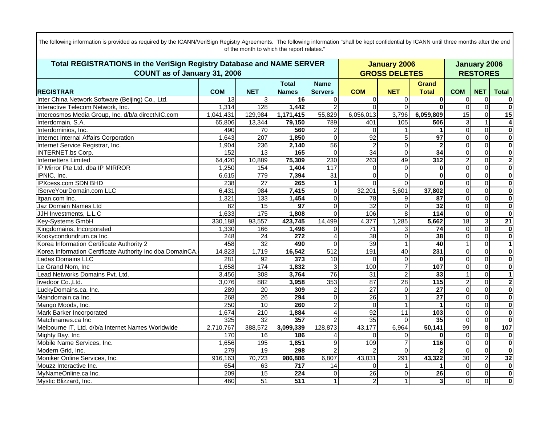| Total REGISTRATIONS in the VeriSign Registry Database and NAME SERVER |            |                  |                  |                 |                 | <b>January 2006</b>  |                 |                 |                         | <b>January 2006</b>     |  |  |
|-----------------------------------------------------------------------|------------|------------------|------------------|-----------------|-----------------|----------------------|-----------------|-----------------|-------------------------|-------------------------|--|--|
| COUNT as of January 31, 2006                                          |            |                  |                  |                 |                 | <b>GROSS DELETES</b> |                 | <b>RESTORES</b> |                         |                         |  |  |
|                                                                       |            |                  | <b>Total</b>     | <b>Name</b>     |                 |                      | <b>Grand</b>    |                 |                         |                         |  |  |
| <b>REGISTRAR</b>                                                      | <b>COM</b> | <b>NET</b>       | <b>Names</b>     | <b>Servers</b>  | <b>COM</b>      | <b>NET</b>           | <b>Total</b>    | <b>COM</b>      | <b>NET</b>              | <b>Total</b>            |  |  |
| Inter China Network Software (Beijing) Co., Ltd.                      | 13         | 3                | 16               | $\Omega$        | $\Omega$        | O                    | 0               | 0               | $\mathbf 0$             | 0                       |  |  |
| Interactive Telecom Network, Inc.                                     | 1,314      | 128              | 1,442            | $\overline{2}$  | $\Omega$        | $\Omega$             | $\bf{0}$        | $\Omega$        | $\overline{0}$          | $\overline{\mathbf{0}}$ |  |  |
| Intercosmos Media Group, Inc. d/b/a directNIC.com                     | 1,041,431  | 129,984          | 1,171,415        | 55,829          | 6,056,013       | 3,796                | 6,059,809       | 15              | $\Omega$                | $\overline{15}$         |  |  |
| Interdomain, S.A.                                                     | 65,806     | 13,344           | 79,150           | 789             | 401             | 105                  | 506             | 3               | $\mathbf{1}$            | 4                       |  |  |
| Interdominios, Inc.                                                   | 490        | 70               | 560              | 2               | $\Omega$        |                      |                 | $\overline{0}$  | $\Omega$                | $\bf{0}$                |  |  |
| Internet Internal Affairs Corporation                                 | 1,643      | $\overline{207}$ | 1,850            | $\Omega$        | $\overline{92}$ |                      | $\overline{97}$ | $\Omega$        | $\mathbf 0$             | $\overline{\mathbf{0}}$ |  |  |
| Internet Service Registrar, Inc.                                      | 1,904      | 236              | 2,140            | 56              | $\overline{2}$  | 0                    | $\mathbf{2}$    | $\Omega$        | $\Omega$                | $\overline{\mathbf{0}}$ |  |  |
| <b>INTERNET.bs Corp.</b>                                              | 152        | $\overline{13}$  | 165              | $\Omega$        | $\overline{34}$ | $\Omega$             | 34              | $\Omega$        | $\Omega$                | $\overline{\mathbf{0}}$ |  |  |
| <b>Internetters Limited</b>                                           | 64,420     | 10,889           | 75,309           | 230             | 263             | 49                   | 312             | 2               | $\overline{0}$          | $\overline{2}$          |  |  |
| IP Mirror Pte Ltd. dba IP MIRROR                                      | 1,250      | 154              | 1,404            | 117             | $\overline{0}$  | 0                    | $\bf{0}$        | $\Omega$        | $\overline{\mathsf{o}}$ | $\overline{\mathbf{0}}$ |  |  |
| IPNIC, Inc.                                                           | 6,615      | 779              | 7,394            | $\overline{31}$ | $\Omega$        |                      | $\bf{0}$        | 0               | $\mathbf 0$             | $\overline{\mathbf{0}}$ |  |  |
| <b>IPXcess.com SDN BHD</b>                                            | 238        | $\overline{27}$  | 265              | $\mathbf{1}$    | $\Omega$        | $\Omega$             | $\bf{0}$        | $\Omega$        | $\Omega$                | $\overline{\mathbf{0}}$ |  |  |
| <b>IServeYourDomain.com LLC</b>                                       | 6,431      | 984              | 7,415            | $\Omega$        | 32,201          | 5,601                | 37,802          | 0               | $\mathbf 0$             | $\overline{\mathbf{0}}$ |  |  |
| Itpan.com Inc.                                                        | 1,321      | 133              | 1,454            | $\Omega$        | 78              | 9                    | 87              | $\overline{0}$  | $\overline{0}$          | $\overline{\mathbf{0}}$ |  |  |
| Jaz Domain Names Ltd                                                  | 82         | 15               | $\overline{97}$  | $\Omega$        | $\overline{32}$ | $\Omega$             | 32              | $\Omega$        | $\mathbf 0$             | $\bf{0}$                |  |  |
| JJH Investments, L.L.C                                                | 1,633      | 175              | 1,808            | $\Omega$        | 106             | 8                    | 114             | $\overline{0}$  | $\Omega$                | $\overline{\mathbf{0}}$ |  |  |
| <b>Key-Systems GmbH</b>                                               | 330,188    | 93,557           | 423,745          | 14,499          | 4,377           | 1,285                | 5,662           | $\overline{18}$ | ω                       | $\overline{21}$         |  |  |
| Kingdomains, Incorporated                                             | 1,330      | 166              | 1,496            | $\Omega$        | $\overline{71}$ |                      | $\overline{74}$ | $\Omega$        | $\overline{0}$          | $\overline{\mathbf{0}}$ |  |  |
| Kookycondundrum.ca Inc.                                               | 248        | $\overline{24}$  | $\overline{272}$ | $\overline{4}$  | $\overline{38}$ | $\Omega$             | 38              | $\Omega$        | $\mathbf 0$             | $\overline{\mathbf{0}}$ |  |  |
| Korea Information Certificate Authority 2                             | 458        | $\overline{32}$  | 490              | $\Omega$        | 39              |                      | 40              |                 | $\overline{0}$          | $\overline{1}$          |  |  |
| Korea Information Certificate Authority Inc dba DomainCA.             | 14,823     | 1,719            | 16,542           | 512             | 191             | 40                   | 231             | 0               | $\overline{0}$          | $\overline{\mathbf{0}}$ |  |  |
| Ladas Domains LLC                                                     | 281        | 92               | 373              | 10              | $\Omega$        | 0                    | $\bf{0}$        | $\Omega$        | $\mathbf 0$             | $\overline{\mathbf{0}}$ |  |  |
| Le Grand Nom, Inc                                                     | 1,658      | 174              | 1,832            | $\mathbf{3}$    | 100             |                      | 107             | $\Omega$        | $\mathbf 0$             | $\overline{\mathbf{0}}$ |  |  |
| Lead Networks Domains Pvt. Ltd.                                       | 3,456      | 308              | 3,764            | 76              | 31              |                      | 33              |                 | $\mathbf 0$             | $\mathbf{1}$            |  |  |
| livedoor Co., Ltd.                                                    | 3,076      | 882              | 3,958            | 353             | 87              | 28                   | 115             | $\overline{c}$  | $\overline{0}$          | $\overline{2}$          |  |  |
| LuckyDomains.ca, Inc.                                                 | 289        | $\overline{20}$  | 309              | $\overline{2}$  | $\overline{27}$ | $\Omega$             | $\overline{27}$ | 0               | $\mathbf 0$             | $\overline{\mathbf{0}}$ |  |  |
| Maindomain.ca Inc.                                                    | 268        | $\overline{26}$  | 294              | $\Omega$        | $\overline{26}$ |                      | $\overline{27}$ | $\Omega$        | $\mathbf 0$             | $\overline{\mathbf{0}}$ |  |  |
| Mango Moods, Inc.                                                     | 250        | 10               | 260              | $\overline{a}$  | $\Omega$        |                      | 1               | 0               | $\mathbf 0$             | $\overline{\mathbf{0}}$ |  |  |
| Mark Barker Incorporated                                              | 1,674      | 210              | 1,884            | $\overline{4}$  | 92              | 11                   | 103             | 0               | $\overline{0}$          | $\overline{\mathbf{0}}$ |  |  |
| Matchnames.ca Inc                                                     | 325        | 32               | 357              | $\overline{2}$  | 35              | $\Omega$             | 35              | $\mathbf 0$     | $\mathbf 0$             | $\bf{0}$                |  |  |
| Melbourne IT, Ltd. d/b/a Internet Names Worldwide                     | 2,710,767  | 388,572          | 3,099,339        | 128,873         | 43,177          | 6,964                | 50,141          | 99              | $\overline{8}$          | 107                     |  |  |
| Mighty Bay, Inc                                                       | 170        | 16               | 186              | 4               | $\Omega$        | 0                    | 0               | $\mathbf 0$     | $\mathbf 0$             | $\bf{0}$                |  |  |
| Mobile Name Services, Inc.                                            | 1,656      | 195              | 1,851            | $\overline{9}$  | 109             |                      | 116             | $\overline{0}$  | $\overline{0}$          | $\overline{\mathbf{0}}$ |  |  |
| Modern Grid, Inc.                                                     | 279        | $\overline{19}$  | 298              | $\overline{2}$  | $\mathcal{P}$   | $\Omega$             |                 | $\mathbf 0$     | $\mathbf 0$             | $\overline{\mathbf{0}}$ |  |  |
| Moniker Online Services, Inc.                                         | 916,163    | 70,723           | 986,886          | 6,807           | 43,031          | 291                  | 43,322          | $\overline{30}$ | $\overline{2}$          | 32                      |  |  |
| Mouzz Interactive Inc.                                                | 654        | 63               | 717              | 14              | $\Omega$        |                      |                 | $\mathbf 0$     | $\overline{\mathsf{o}}$ | $\overline{\mathbf{0}}$ |  |  |
| MyNameOnline.ca Inc.                                                  | 209        | 15               | 224              | $\Omega$        | 26              | $\Omega$             | $\overline{26}$ | $\overline{0}$  | $\overline{0}$          | $\overline{\mathbf{0}}$ |  |  |
| Mystic Blizzard, Inc.                                                 | 460        | 51               | 511              |                 | $\overline{2}$  |                      | 3               | $\overline{0}$  | $\mathbf 0$             | $\overline{\mathbf{0}}$ |  |  |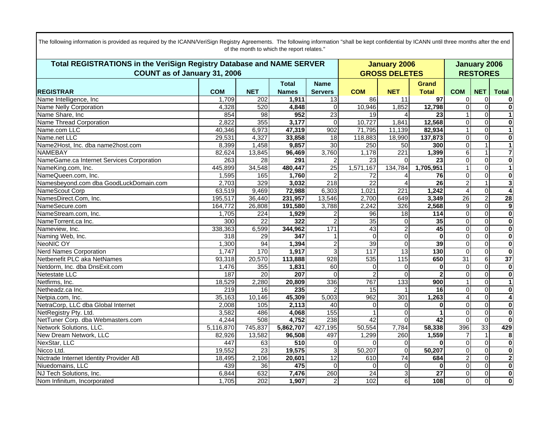| Total REGISTRATIONS in the VeriSign Registry Database and NAME SERVER |                     |                 |              |                  |                 | <b>January 2006</b>  |                   |                 |                | <b>January 2006</b>     |  |  |
|-----------------------------------------------------------------------|---------------------|-----------------|--------------|------------------|-----------------|----------------------|-------------------|-----------------|----------------|-------------------------|--|--|
| COUNT as of January 31, 2006                                          |                     |                 |              |                  |                 | <b>GROSS DELETES</b> |                   | <b>RESTORES</b> |                |                         |  |  |
|                                                                       |                     |                 | <b>Total</b> | <b>Name</b>      |                 |                      | Grand             |                 |                |                         |  |  |
| <b>REGISTRAR</b>                                                      | <b>COM</b>          | <b>NET</b>      | <b>Names</b> | <b>Servers</b>   | <b>COM</b>      | <b>NET</b>           | <b>Total</b>      | <b>COM</b>      | <b>NET</b>     | <b>Total</b>            |  |  |
| Name Intelligence, Inc.                                               | 1,709               | 202             | 1,911        | 13               | 86              | 11                   | 97                | 0               | 0              | 0                       |  |  |
| Name Nelly Corporation                                                | 4,328               | 520             | 4,848        | $\mathbf 0$      | 10,946          | 1,852                | 12,798            | 0               | $\overline{0}$ | $\overline{\mathbf{0}}$ |  |  |
| Name Share, Inc                                                       | 854                 | 98              | 952          | 23               | 19              |                      | 23                |                 | $\Omega$       | $\mathbf{1}$            |  |  |
| <b>Name Thread Corporation</b>                                        | 2,822               | 355             | 3,177        | $\Omega$         | 10,727          | 1,841                | 12,568            | 0               | $\Omega$       | $\overline{\mathbf{o}}$ |  |  |
| Name.com LLC                                                          | 40,346              | 6,973           | 47,319       | 902              | 71,795          | 11,139               | 82,934            | 1               | $\overline{0}$ | $\mathbf{1}$            |  |  |
| Name.net LLC                                                          | 29,531              | 4,327           | 33,858       | 18               | 118,883         | 18,990               | 137,873           | $\mathbf{0}$    | $\mathbf 0$    | $\pmb{0}$               |  |  |
| Name2Host, Inc. dba name2host.com                                     | 8,399               | 1,458           | 9,857        | 30               | 250             | 50                   | 300               | $\mathbf{0}$    | $\mathbf{1}$   | $\mathbf{1}$            |  |  |
| NAMEBAY                                                               | $\overline{82,624}$ | 13,845          | 96,469       | 3,760            | 1,178           | 221                  | 1,399             | 6               | $\mathbf{1}$   | $\overline{\mathbf{7}}$ |  |  |
| NameGame.ca Internet Services Corporation                             | 263                 | 28              | 291          |                  | 23              | $\Omega$             | 23                | 0               | $\overline{0}$ | $\mathbf{0}$            |  |  |
| NameKing.com, Inc.                                                    | 445,899             | 34,548          | 480,447      | $\overline{25}$  | 1,571,167       | 134,784              | 1,705,951         |                 | $\mathbf 0$    | $\mathbf{1}$            |  |  |
| NameQueen.com, Inc.                                                   | 1,595               | 165             | 1,760        | $\overline{2}$   | $\overline{72}$ |                      | 76                | $\mathbf{0}$    | $\mathbf 0$    | $\overline{\mathbf{o}}$ |  |  |
| Namesbeyond.com dba GoodLuckDomain.com                                | 2,703               | 329             | 3,032        | 218              | $\overline{22}$ |                      | $\overline{26}$   | $\overline{c}$  | $\mathbf{1}$   | $\overline{\mathbf{3}}$ |  |  |
| NameScout Corp                                                        | 63,519              | 9,469           | 72,988       | 6,303            | 1,021           | $\overline{221}$     | 1,242             | 4               | $\pmb{0}$      | $\overline{\mathbf{4}}$ |  |  |
| NamesDirect.Com, Inc.                                                 | 195,517             | 36,440          | 231,957      | 13,546           | 2,700           | 649                  | 3,349             | 26              | $\overline{2}$ | 28                      |  |  |
| NameSecure.com                                                        | 164,772             | 26,808          | 191,580      | 3,788            | 2,242           | 326                  | 2,568             | 9               | $\mathbf 0$    | 9                       |  |  |
| NameStream.com, Inc.                                                  | 1,705               | 224             | 1,929        |                  | $\overline{96}$ | $\overline{18}$      | $\frac{114}{114}$ | 0               | $\mathbf 0$    | $\overline{\mathbf{o}}$ |  |  |
| NameTorrent.ca Inc.                                                   | 300                 | 22              | 322          |                  | 35              | $\Omega$             | 35                | $\mathbf{0}$    | $\mathbf 0$    | $\overline{\mathbf{0}}$ |  |  |
| Nameview, Inc.                                                        | 338,363             | 6,599           | 344,962      | 171              | 43              | 2                    | 45                | 0               | $\mathbf 0$    | $\overline{\mathbf{0}}$ |  |  |
| Naming Web, Inc.                                                      | 318                 | $\overline{29}$ | 347          |                  | $\Omega$        | $\Omega$             | $\bf{0}$          | $\overline{0}$  | $\Omega$       | $\overline{\mathbf{0}}$ |  |  |
| <b>NeoNIC OY</b>                                                      | 1,300               | 94              | 1,394        | $\overline{c}$   | 39              | $\Omega$             | 39                | 0               | $\mathbf 0$    | $\bullet$               |  |  |
| <b>Nerd Names Corporation</b>                                         | 1,747               | 170             | 1,917        | 3                | 117             | 13                   | 130               | $\mathbf 0$     | $\mathbf 0$    | $\mathbf 0$             |  |  |
| Netbenefit PLC aka NetNames                                           | 93,318              | 20,570          | 113,888      | $\overline{928}$ | 535             | 115                  | 650               | 31              | 6              | 37                      |  |  |
| Netdorm, Inc. dba DnsExit.com                                         | 1,476               | 355             | 1,831        | 60               | 0               | $\Omega$             | $\bf{0}$          | $\mathbf 0$     | $\mathbf 0$    | $\overline{\mathbf{o}}$ |  |  |
| Netestate LLC                                                         | 187                 | $\overline{20}$ | 207          | $\Omega$         | $\overline{2}$  | $\Omega$             | $\overline{2}$    | $\Omega$        | $\mathbf 0$    | $\overline{\mathbf{o}}$ |  |  |
| Netfirms, Inc.                                                        | 18,529              | 2,280           | 20,809       | 336              | 767             | 133                  | 900               | 1               | $\mathbf 0$    | $\mathbf{1}$            |  |  |
| Netheadz.ca Inc.                                                      | $\overline{219}$    | 16              | 235          |                  | 15              |                      | 16                | $\overline{0}$  | $\overline{0}$ | $\overline{\mathbf{o}}$ |  |  |
| Netpia.com, Inc.                                                      | 35,163              | 10,146          | 45,309       | 5,003            | 962             | 301                  | 1,263             | 4               | $\mathbf 0$    | $\overline{\mathbf{4}}$ |  |  |
| NetraCorp, LLC dba Global Internet                                    | 2,008               | 105             | 2,113        | 40               | $\Omega$        | $\Omega$             | $\bf{0}$          | $\Omega$        | $\mathbf 0$    | $\overline{\mathbf{o}}$ |  |  |
| NetRegistry Pty. Ltd.                                                 | 3,582               | 486             | 4,068        | 155              |                 | $\Omega$             | 1                 | $\overline{0}$  | $\overline{0}$ | $\overline{\mathbf{0}}$ |  |  |
| NetTuner Corp. dba Webmasters.com                                     | 4,244               | 508             | 4,752        | 238              | 42              | $\Omega$             | 42                | $\Omega$        | $\Omega$       | $\mathbf{0}$            |  |  |
| Network Solutions, LLC.                                               | 5,116,870           | 745,837         | 5,862,707    | 427,195          | 50,554          | 7,784                | 58,338            | 396             | 33             | 429                     |  |  |
| New Dream Network, LLC                                                | 82,926              | 13,582          | 96,508       | 497              | 1,299           | 260                  | 1,559             | 7               | $\mathbf{1}$   | 8                       |  |  |
| NexStar, LLC                                                          | 447                 | 63              | 510          | $\Omega$         | $\Omega$        | $\Omega$             | $\bf{0}$          | $\Omega$        | $\mathbf 0$    | $\mathbf{0}$            |  |  |
| Nicco Ltd.                                                            | 19,552              | 23              | 19,575       | 3                | 50,207          | $\overline{0}$       | 50,207            | 0               | $\mathbf 0$    | $\overline{\mathbf{0}}$ |  |  |
| Nictrade Internet Identity Provider AB                                | 18,495              | 2,106           | 20,601       | $\overline{12}$  | 610             | $\overline{74}$      | 684               | $\overline{2}$  | $\mathbf 0$    | $\overline{2}$          |  |  |
| Niuedomains, LLC                                                      | 439                 | 36              | 475          | $\Omega$         | $\Omega$        | $\Omega$             | $\bf{0}$          | $\overline{0}$  | $\Omega$       | $\overline{\mathbf{0}}$ |  |  |
| NJ Tech Solutions, Inc.                                               | 6,844               | 632             | 7,476        | 260              | $\overline{24}$ | 3                    | $\overline{27}$   | 0               | $\mathbf 0$    | $\mathbf{0}$            |  |  |
| Nom Infinitum, Incorporated                                           | 1,705               | 202             | 1,907        | $\overline{a}$   | 102             | $\overline{6}$       | 108               | Ō               | $\overline{0}$ | $\overline{\mathbf{0}}$ |  |  |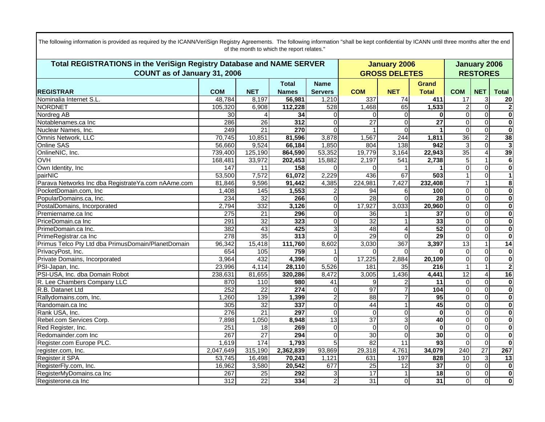| Total REGISTRATIONS in the VeriSign Registry Database and NAME SERVER |                  |                 |              |                |                 | <b>January 2006</b>  |                 |                  |                         | <b>January 2006</b>     |  |  |
|-----------------------------------------------------------------------|------------------|-----------------|--------------|----------------|-----------------|----------------------|-----------------|------------------|-------------------------|-------------------------|--|--|
| COUNT as of January 31, 2006                                          |                  |                 |              |                |                 | <b>GROSS DELETES</b> |                 | <b>RESTORES</b>  |                         |                         |  |  |
|                                                                       |                  |                 | <b>Total</b> | <b>Name</b>    |                 |                      | <b>Grand</b>    |                  |                         |                         |  |  |
| <b>REGISTRAR</b>                                                      | <b>COM</b>       | <b>NET</b>      | <b>Names</b> | <b>Servers</b> | <b>COM</b>      | <b>NET</b>           | <b>Total</b>    | <b>COM</b>       | <b>NET</b>              | <b>Total</b>            |  |  |
| Nominalia Internet S.L                                                | 48,784           | 8,197           | 56,981       | 1,210          | 337             | 74                   | 411             | 17               | 3                       | 20                      |  |  |
| <b>NORDNET</b>                                                        | 105,320          | 6,908           | 112,228      | 528            | 1,468           | 65                   | 1,533           | $\overline{2}$   | $\overline{0}$          | $\overline{\mathbf{2}}$ |  |  |
| Nordreg AB                                                            | 30               |                 | 34           | 0              | $\Omega$        | $\Omega$             | 0               | $\mathbf{0}$     | $\mathbf 0$             | $\overline{\mathbf{0}}$ |  |  |
| Notablenames.ca Inc                                                   | 286              | 26              | 312          | $\Omega$       | $\overline{27}$ | $\Omega$             | $\overline{27}$ | $\overline{0}$   | $\overline{0}$          | $\overline{\mathbf{0}}$ |  |  |
| Nuclear Names, Inc.                                                   | 249              | $\overline{21}$ | 270          | 0              | 1               | $\Omega$             | 1               | $\mathbf 0$      | $\overline{0}$          | $\mathbf{0}$            |  |  |
| Omnis Network, LLC                                                    | 70,745           | 10,851          | 81,596       | 3,878          | 1,567           | 244                  | 1,811           | 36               | $\overline{2}$          | 38                      |  |  |
| Online SAS                                                            | 56,660           | 9,524           | 66,184       | 1,850          | 804             | 138                  | 942             | 3                | $\mathbf 0$             | دی                      |  |  |
| OnlineNIC, Inc.                                                       | 739,400          | 125,190         | 864,590      | 53,352         | 19,779          | 3,164                | 22,943          | $\overline{35}$  | $\overline{4}$          | 39                      |  |  |
| <b>OVH</b>                                                            | 168,481          | 33,972          | 202,453      | 15,882         | 2,197           | 541                  | 2,738           | 5                | $\mathbf{1}$            | ெ                       |  |  |
| Own Identity, Inc                                                     | 147              | $\overline{11}$ | 158          | $\Omega$       | $\Omega$        |                      |                 | $\overline{0}$   | $\mathbf 0$             | $\overline{\mathbf{0}}$ |  |  |
| pairNIC                                                               | 53,500           | 7,572           | 61,072       | 2,229          | 436             | 67                   | 503             |                  | $\mathbf 0$             | $\mathbf{1}$            |  |  |
| Parava Networks Inc dba RegistrateYa.com nAAme.com                    | 81,846           | 9,596           | 91,442       | 4,385          | 224,981         | 7,427                | 232,408         |                  | $\mathbf{1}$            | $\overline{\mathbf{8}}$ |  |  |
| PocketDomain.com. Inc                                                 | 1,408            | 145             | 1,553        |                | 94              | 6                    | 100             | $\mathbf 0$      | $\overline{0}$          | $\overline{\mathbf{0}}$ |  |  |
| PopularDomains.ca, Inc.                                               | 234              | $\overline{32}$ | 266          | $\Omega$       | 28              | $\Omega$             | $\overline{28}$ | $\overline{0}$   | $\overline{0}$          | $\overline{\mathbf{0}}$ |  |  |
| PostalDomains, Incorporated                                           | 2,794            | 332             | 3,126        | $\Omega$       | 17,927          | 3,033                | 20,960          | $\mathbf 0$      | $\mathbf 0$             | $\mathbf{0}$            |  |  |
| Premiername.ca Inc                                                    | 275              | $\overline{21}$ | 296          | $\Omega$       | 36              |                      | $\overline{37}$ | $\overline{0}$   | $\Omega$                | $\mathbf 0$             |  |  |
| PriceDomain.ca Inc                                                    | 291              | 32              | 323          | $\Omega$       | 32              |                      | 33              | $\mathbf 0$      | $\overline{0}$          | $\overline{\mathbf{0}}$ |  |  |
| PrimeDomain.ca Inc.                                                   | 382              | 43              | 425          | 3              | 48              |                      | 52              | 0                | $\overline{0}$          | $\overline{\mathbf{0}}$ |  |  |
| PrimeRegistrar.ca Inc                                                 | $\overline{278}$ | 35              | 313          | $\Omega$       | 29              | $\Omega$             | $\overline{29}$ | $\mathbf 0$      | $\mathbf 0$             | $\mathbf{0}$            |  |  |
| Primus Telco Pty Ltd dba PrimusDomain/PlanetDomain                    | 96,342           | 15,418          | 111,760      | 8,602          | 3,030           | 367                  | 3,397           | 13               | $\mathbf{1}$            | 14                      |  |  |
| PrivacyPost, Inc.                                                     | 654              | 105             | 759          |                | 0               | $\Omega$             | 0               | $\mathbf 0$      | $\overline{0}$          | $\overline{\mathbf{o}}$ |  |  |
| Private Domains, Incorporated                                         | 3,964            | 432             | 4,396        | $\Omega$       | 17,225          | 2,884                | 20,109          | $\overline{0}$   | $\mathbf 0$             | $\overline{\mathbf{o}}$ |  |  |
| PSI-Japan, Inc.                                                       | 23,996           | 4,114           | 28,110       | 5,526          | 181             | 35                   | 216             | 1                | $\mathbf{1}$            | $\overline{\mathbf{c}}$ |  |  |
| PSI-USA, Inc. dba Domain Robot                                        | 238,631          | 81,655          | 320,286      | 8,472          | 3,005           | 1,436                | 4,441           | 12               | $\overline{4}$          | 16                      |  |  |
| R. Lee Chambers Company LLC                                           | 870              | 110             | 980          | 41             | 9               |                      | 11              | $\mathbf 0$      | $\overline{0}$          | $\mathbf{0}$            |  |  |
| R.B. Datanet Ltd                                                      | 252              | $\overline{22}$ | 274          | $\Omega$       | 97              |                      | 104             | $\mathbf 0$      | $\mathbf 0$             | $\overline{\mathbf{0}}$ |  |  |
| Rallydomains.com, Inc.                                                | 1,260            | 139             | 1,399        | $\overline{2}$ | $\overline{88}$ | 7                    | 95              | 0                | $\overline{0}$          | $\overline{\mathbf{0}}$ |  |  |
| Randomain.ca Inc                                                      | 305              | 32              | 337          | $\Omega$       | 44              |                      | 45              | 0                | $\mathbf 0$             | $\overline{\mathbf{o}}$ |  |  |
| Rank USA, Inc.                                                        | 276              | $\overline{21}$ | 297          | $\mathbf{0}$   | $\overline{0}$  | $\overline{0}$       | $\bf{0}$        | 0                | $\overline{0}$          | $\overline{\mathbf{0}}$ |  |  |
| Rebel.com Services Corp.                                              | 7,898            | 1,050           | 8,948        | 13             | $\overline{37}$ | $\overline{3}$       | 40              | $\overline{0}$   | $\mathbf 0$             | $\overline{\mathbf{0}}$ |  |  |
| Red Register, Inc.                                                    | 251              | 18              | 269          | $\mathbf{0}$   | $\mathbf 0$     | $\overline{O}$       | $\bf{0}$        | 0                | $\overline{0}$          | $\pmb{0}$               |  |  |
| Redomainder.com Inc                                                   | 267              | $\overline{27}$ | 294          | $\Omega$       | 30              | $\Omega$             | 30              | 0                | $\mathbf 0$             | $\overline{\mathbf{o}}$ |  |  |
| Register.com Europe PLC.                                              | 1,619            | 174             | 1,793        | 5              | $\overline{82}$ | 11                   | 93              | $\boldsymbol{0}$ | $\overline{\mathbf{0}}$ | $\overline{\mathbf{0}}$ |  |  |
| register.com, Inc.                                                    | 2,047,649        | 315,190         | 2,362,839    | 93,869         | 29,318          | 4,761                | 34,079          | 240              | 27                      | 267                     |  |  |
| Register.it SPA                                                       | 53,745           | 16,498          | 70,243       | 1,121          | 631             | 197                  | 828             | $\overline{10}$  | 3                       | $\overline{13}$         |  |  |
| RegisterFly.com, Inc.                                                 | 16,962           | 3,580           | 20,542       | 677            | 25              | 12                   | $\overline{37}$ | $\mathbf 0$      | $\overline{0}$          | $\overline{\mathbf{0}}$ |  |  |
| RegisterMyDomains.ca Inc                                              | 267              | 25              | 292          | 3              | 17              |                      | $\overline{18}$ | $\mathbf 0$      | $\overline{0}$          | $\overline{\mathbf{o}}$ |  |  |
| Registerone.ca Inc                                                    | 312              | $\overline{22}$ | 334          | $\overline{2}$ | 31              | $\overline{0}$       | 31              | $\overline{0}$   | $\overline{0}$          | $\overline{\mathbf{0}}$ |  |  |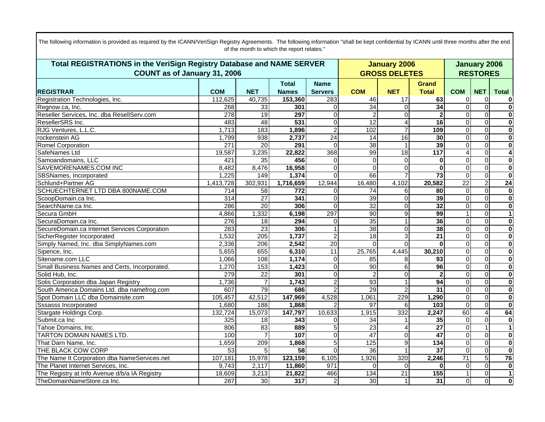| Total REGISTRATIONS in the VeriSign Registry Database and NAME SERVER |            |                  |              |                 |                         | <b>January 2006</b>  |                  |                 |                | <b>January 2006</b>     |  |  |
|-----------------------------------------------------------------------|------------|------------------|--------------|-----------------|-------------------------|----------------------|------------------|-----------------|----------------|-------------------------|--|--|
| COUNT as of January 31, 2006                                          |            |                  |              |                 |                         | <b>GROSS DELETES</b> |                  | <b>RESTORES</b> |                |                         |  |  |
|                                                                       |            |                  | <b>Total</b> | <b>Name</b>     |                         |                      | <b>Grand</b>     |                 |                |                         |  |  |
| <b>REGISTRAR</b>                                                      | <b>COM</b> | <b>NET</b>       | <b>Names</b> | <b>Servers</b>  | <b>COM</b>              | <b>NET</b>           | <b>Total</b>     | <b>COM</b>      | <b>NET</b>     | <b>Total</b>            |  |  |
| Registration Technologies, Inc.                                       | 112,625    | 40,735           | 153,360      | 283             | 46                      | 17                   | 63               | 0               | 0              | $\bf{0}$                |  |  |
| Regnow.ca, Inc.                                                       | 268        | 33               | 301          | $\Omega$        | 34                      | $\Omega$             | $\overline{34}$  | $\overline{0}$  | $\overline{0}$ | $\overline{\mathbf{0}}$ |  |  |
| Reseller Services, Inc. dba ResellServ.com                            | 278        | 19               | 297          | $\Omega$        | $\overline{\mathbf{c}}$ | $\Omega$             | $\mathbf{2}$     | 0               | $\mathbf 0$    | $\overline{\mathbf{0}}$ |  |  |
| ResellerSRS Inc.                                                      | 483        | 48               | 531          | $\Omega$        | $\overline{12}$         | 4                    | $\overline{16}$  | $\mathbf{0}$    | $\Omega$       | $\mathbf 0$             |  |  |
| RJG Ventures, L.L.C.                                                  | 1,713      | 183              | 1,896        | 2               | 102                     | $\overline{7}$       | 109              | 0               | $\overline{0}$ | $\overline{\mathbf{0}}$ |  |  |
| rockenstein AG                                                        | 1,799      | 938              | 2,737        | $\overline{24}$ | $\overline{14}$         | 16                   | 30               | $\overline{0}$  | $\Omega$       | $\mathbf 0$             |  |  |
| <b>Romel Corporation</b>                                              | 271        | 20               | 291          | $\Omega$        | 38                      | $\mathbf{1}$         | 39               | $\overline{0}$  | $\overline{0}$ | $\mathbf 0$             |  |  |
| SafeNames Ltd                                                         | 19,587     | 3,235            | 22,822       | 368             | 99                      | 18                   | $\overline{117}$ | $\overline{4}$  | $\mathbf 0$    | 4                       |  |  |
| Samoandomains, LLC                                                    | 421        | 35               | 456          | $\Omega$        | $\Omega$                | $\Omega$             | $\bf{0}$         | 0               | $\overline{0}$ | $\mathbf 0$             |  |  |
| SAVEMORENAMES.COM INC                                                 | 8,482      | 8,476            | 16,958       | $\Omega$        | $\Omega$                | $\Omega$             | $\bf{0}$         | 0               | $\mathbf 0$    | $\overline{\mathbf{o}}$ |  |  |
| SBSNames, Incorporated                                                | 1,225      | 149              | 1,374        | $\Omega$        | 66                      |                      | $\overline{73}$  | $\mathbf 0$     | $\mathbf 0$    | $\overline{\mathbf{0}}$ |  |  |
| Schlund+Partner AG                                                    | 1,413,728  | 302,931          | 1,716,659    | 12,944          | 16,480                  | 4,102                | 20,582           | $\overline{22}$ | $\overline{2}$ | 24                      |  |  |
| SCHUECHTERNET LTD DBA 800NAME.COM                                     | 714        | 58               | 772          | 0               | 74                      | 6                    | 80               | $\mathbf 0$     | $\overline{0}$ | $\overline{\mathbf{0}}$ |  |  |
| ScoopDomain.ca Inc.                                                   | 314        | $\overline{27}$  | 341          | $\Omega$        | 39                      | $\Omega$             | 39               | $\overline{0}$  | $\overline{0}$ | $\overline{\mathbf{0}}$ |  |  |
| SearchName.ca Inc.                                                    | 286        | $\overline{20}$  | 306          | $\Omega$        | $\overline{32}$         | $\Omega$             | 32               | $\overline{0}$  | $\mathbf 0$    | $\mathbf{0}$            |  |  |
| Secura GmbH                                                           | 4,866      | 1,332            | 6,198        | 297             | 90                      | 9                    | 99               |                 | $\Omega$       | $\mathbf{1}$            |  |  |
| SecuraDomain.ca Inc.                                                  | 276        | 18               | 294          | $\Omega$        | 35                      |                      | 36               | $\mathbf 0$     | $\mathbf 0$    | $\mathbf 0$             |  |  |
| SecureDomain.ca Internet Services Corporation                         | 283        | 23               | 306          |                 | 38                      | $\Omega$             | 38               | $\overline{0}$  | $\overline{0}$ | $\overline{\mathbf{0}}$ |  |  |
| SicherRegister Incorporated                                           | 1,532      | $\overline{205}$ | 1,737        | 2               | $\overline{18}$         | $\overline{3}$       | $\overline{21}$  | 0               | $\mathbf 0$    | $\mathbf{0}$            |  |  |
| Simply Named, Inc. dba SimplyNames.com                                | 2,336      | 206              | 2,542        | $\overline{20}$ | $\Omega$                | $\Omega$             | $\bf{0}$         | $\overline{0}$  | $\Omega$       | $\mathbf 0$             |  |  |
| Sipence, Inc.                                                         | 5,655      | 655              | 6,310        | $\overline{11}$ | 25,765                  | 4,445                | 30,210           | 0               | $\overline{0}$ | $\overline{\mathbf{o}}$ |  |  |
| Sitename.com LLC                                                      | 1,066      | 108              | 1,174        | $\Omega$        | $\overline{85}$         | 8                    | $\overline{93}$  | $\overline{0}$  | $\Omega$       | $\overline{\mathbf{o}}$ |  |  |
| Small Business Names and Certs, Incorporated.                         | 1,270      | 153              | 1,423        | $\Omega$        | 90                      | 6                    | 96               | $\mathbf{0}$    | $\overline{0}$ | $\overline{\mathbf{0}}$ |  |  |
| Solid Hub, Inc.                                                       | 279        | $\overline{22}$  | 301          | $\Omega$        | $\overline{c}$          | $\Omega$             | $\overline{2}$   | $\overline{0}$  | $\mathbf 0$    | $\mathbf 0$             |  |  |
| Solis Corporation dba Japan Registry                                  | 1,736      | $\overline{7}$   | 1,743        | 2               | 93                      |                      | 94               | $\overline{0}$  | $\mathbf 0$    | $\overline{\mathbf{0}}$ |  |  |
| South America Domains Ltd. dba namefrog.com                           | 607        | 79               | 686          |                 | 29                      | $\overline{2}$       | 31               | 0               | $\mathbf 0$    | $\overline{\mathbf{o}}$ |  |  |
| Spot Domain LLC dba Domainsite.com                                    | 105,457    | 42,512           | 147,969      | 4,528           | 1,061                   | 229                  | 1,290            | 0               | $\Omega$       | $\overline{\mathbf{0}}$ |  |  |
| <b>Sssasss Incorporated</b>                                           | 1,680      | 188              | 1,868        |                 | 97                      | 6                    | 103              | 0               | $\mathbf 0$    | $\mathbf 0$             |  |  |
| Stargate Holdings Corp.                                               | 132,724    | 15,073           | 147,797      | 10,633          | 1,915                   | 332                  | 2,247            | 60              | $\overline{4}$ | 64                      |  |  |
| Submit.ca Inc                                                         | 325        | $\overline{18}$  | 343          | $\Omega$        | 34                      |                      | 35               | $\mathbf 0$     | $\mathbf 0$    | $\overline{\mathbf{0}}$ |  |  |
| Tahoe Domains, Inc.                                                   | 806        | $\overline{83}$  | 889          | 5               | $\overline{23}$         |                      | $\overline{27}$  | $\Omega$        | $\mathbf{1}$   | $\mathbf{1}$            |  |  |
| TARTON DOMAIN NAMES LTD.                                              | 100        |                  | 107          | $\Omega$        | 47                      | $\Omega$             | $\overline{47}$  | $\mathbf{0}$    | $\Omega$       | $\bf{0}$                |  |  |
| That Darn Name, Inc.                                                  | 1,659      | 209              | 1,868        | 5               | 125                     | $\overline{9}$       | 134              | $\mathbf 0$     | $\overline{0}$ | $\overline{\mathbf{o}}$ |  |  |
| THE BLACK COW CORP                                                    | 53         | 5                | 58           | $\Omega$        | 36                      |                      | $\overline{37}$  | $\overline{0}$  | $\overline{0}$ | $\overline{\mathbf{0}}$ |  |  |
| The Name It Corporation dba NameServices.net                          | 107,181    | 15,978           | 123,159      | 6,105           | 1,926                   | 320                  | 2,246            | $\overline{71}$ | $\overline{5}$ | 76                      |  |  |
| The Planet Internet Services, Inc.                                    | 9,743      | 2,117            | 11,860       | 971             | $\Omega$                | $\Omega$             | $\bf{0}$         | $\mathbf 0$     | $\Omega$       | $\overline{\mathbf{o}}$ |  |  |
| The Registry at Info Avenue d/b/a IA Registry                         | 18,609     | 3,213            | 21,822       | 466             | $\overline{134}$        | $\overline{21}$      | 155              | 1               | $\overline{0}$ | $\mathbf{1}$            |  |  |
| TheDomainNameStore.ca Inc.                                            | 287        | 30               | 317          | $\overline{2}$  | 30                      | $\mathbf{1}$         | 31               | $\mathbf 0$     | $\overline{0}$ | $\mathbf{0}$            |  |  |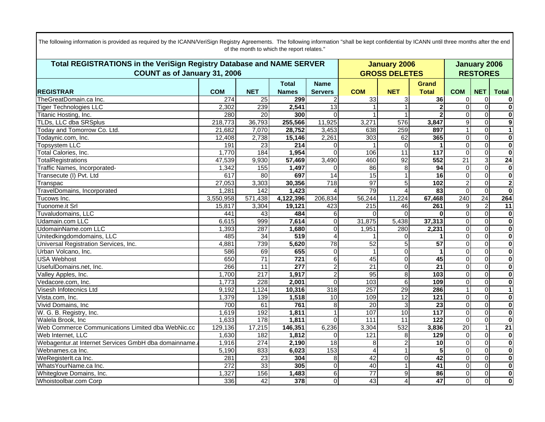| Total REGISTRATIONS in the VeriSign Registry Database and NAME SERVER |            |                  |                  |                  |                 | <b>January 2006</b>  |                  |                 |                         | <b>January 2006</b>     |  |  |
|-----------------------------------------------------------------------|------------|------------------|------------------|------------------|-----------------|----------------------|------------------|-----------------|-------------------------|-------------------------|--|--|
| COUNT as of January 31, 2006                                          |            |                  |                  |                  |                 | <b>GROSS DELETES</b> |                  | <b>RESTORES</b> |                         |                         |  |  |
|                                                                       |            |                  | <b>Total</b>     | <b>Name</b>      |                 |                      | <b>Grand</b>     |                 |                         |                         |  |  |
| <b>REGISTRAR</b>                                                      | <b>COM</b> | <b>NET</b>       | <b>Names</b>     | <b>Servers</b>   | <b>COM</b>      | <b>NET</b>           | <b>Total</b>     | <b>COM</b>      | <b>NET</b>              | <b>Total</b>            |  |  |
| TheGreatDomain.ca Inc.                                                | 274        | 25               | 299              |                  | 33              | 3                    | 36               | 0               | $\mathbf 0$             | 0                       |  |  |
| <b>Tiger Technologies LLC</b>                                         | 2,302      | 239              | 2,541            | 13               |                 |                      | $\mathbf 2$      | $\overline{0}$  | $\mathbf 0$             | $\overline{\mathbf{0}}$ |  |  |
| Titanic Hosting, Inc.                                                 | 280        | 20               | 300              | $\Omega$         |                 |                      |                  | $\Omega$        | $\Omega$                | $\overline{\mathbf{0}}$ |  |  |
| TLDs, LLC dba SRSplus                                                 | 218,773    | 36,793           | 255,566          | 11,925           | 3,271           | 576                  | 3,847            | 9               | $\mathbf 0$             | $\overline{9}$          |  |  |
| Today and Tomorrow Co. Ltd.                                           | 21,682     | 7,070            | 28,752           | 3,453            | 638             | 259                  | 897              |                 | $\mathbf 0$             | $\overline{1}$          |  |  |
| Todaynic.com, Inc.                                                    | 12,408     | 2,738            | 15,146           | 2,261            | 303             | 62                   | 365              | $\Omega$        | $\mathbf 0$             | $\overline{\mathbf{0}}$ |  |  |
| <b>Topsystem LLC</b>                                                  | 191        | 23               | 214              | $\Omega$         |                 | $\Omega$             |                  | $\Omega$        | $\Omega$                | $\overline{\mathbf{0}}$ |  |  |
| Total Calories, Inc.                                                  | 1,770      | 184              | 1,954            | $\Omega$         | 106             | 11                   | 117              | $\Omega$        | $\mathbf 0$             | $\overline{\mathbf{0}}$ |  |  |
| <b>TotalRegistrations</b>                                             | 47,539     | 9,930            | 57,469           | 3,490            | 460             | 92                   | 552              | $\overline{21}$ | 3                       | 24                      |  |  |
| Traffic Names, Incorporated-                                          | 1,342      | 155              | 1,497            | $\Omega$         | 86              | 8                    | $\overline{94}$  | $\Omega$        | $\mathbf 0$             | $\overline{\mathbf{0}}$ |  |  |
| Transecute (I) Pvt. Ltd                                               | 617        | 80               | 697              | 14               | 15              |                      | $\overline{16}$  | $\Omega$        | $\Omega$                | $\overline{\mathbf{0}}$ |  |  |
| Transpac                                                              | 27,053     | 3,303            | 30,356           | 718              | 97              | 5                    | 102              | $\overline{c}$  | $\mathbf 0$             | $\overline{2}$          |  |  |
| TravelDomains, Incorporated                                           | 1,281      | 142              | 1,423            | $\overline{4}$   | 79              |                      | 83               | $\Omega$        | $\mathbf 0$             | $\overline{\mathbf{0}}$ |  |  |
| Tucows Inc.                                                           | 3,550,958  | 571,438          | 4,122,396        | 206,834          | 56,244          | 11,224               | 67,468           | 240             | 24                      | 264                     |  |  |
| Tuonome.it Srl                                                        | 15,817     | 3,304            | 19,121           | 423              | 215             | 46                   | 261              | 9               | $\overline{2}$          | 11                      |  |  |
| Tuvaludomains, LLC                                                    | 441        | $\overline{43}$  | 484              | 6 <sup>1</sup>   | $\Omega$        |                      | $\bf{0}$         | 0               | $\mathbf 0$             | $\overline{\mathbf{0}}$ |  |  |
| Udamain.com LLC                                                       | 6,615      | 999              | 7,614            | $\Omega$         | 31,875          | 5,438                | 37,313           | $\mathbf 0$     | $\overline{0}$          | $\overline{\mathbf{0}}$ |  |  |
| UdomainName.com LLC                                                   | 1,393      | 287              | 1,680            | $\overline{0}$   | 1,951           | 280                  | 2,231            | $\Omega$        | $\mathbf 0$             | $\overline{\mathbf{0}}$ |  |  |
| Unitedkingdomdomains, LLC                                             | 485        | $\overline{34}$  | $\overline{519}$ | $\overline{4}$   | $\mathbf{1}$    | $\Omega$             | 1                | $\overline{0}$  | $\overline{\mathsf{o}}$ | $\overline{\mathbf{0}}$ |  |  |
| Universal Registration Services, Inc.                                 | 4,881      | 739              | 5,620            | 78               | 52              |                      | 57               | 0               | $\mathbf 0$             | $\overline{\mathbf{0}}$ |  |  |
| Urban Volcano, Inc.                                                   | 586        | 69               | 655              | $\Omega$         | 1               | $\Omega$             | 1                | $\overline{0}$  | $\overline{0}$          | $\overline{\mathbf{0}}$ |  |  |
| <b>USA Webhost</b>                                                    | 650        | 71               | $\frac{1}{721}$  | $6 \mid$         | 45              | $\Omega$             | 45               | $\Omega$        | $\mathbf 0$             | $\overline{\mathbf{0}}$ |  |  |
| UsefulDomains.net, Inc.                                               | 266        | 11               | 277              | $\overline{2}$   | $\overline{21}$ | $\Omega$             | $\overline{21}$  | $\overline{0}$  | $\overline{0}$          | $\overline{\mathbf{0}}$ |  |  |
| Valley Apples, Inc.                                                   | 1,700      | $\overline{217}$ | 1,917            | $\overline{2}$   | 95              | 8                    | 103              | 0               | $\mathbf 0$             | $\overline{\mathbf{0}}$ |  |  |
| Vedacore.com, Inc.                                                    | 1,773      | 228              | 2,001            | $\Omega$         | 103             | 6                    | 109              | 0               | $\overline{0}$          | $\overline{\mathbf{0}}$ |  |  |
| Visesh Infotecnics Ltd                                                | 9,192      | 1,124            | 10,316           | $\overline{318}$ | 257             | 29                   | 286              |                 | $\overline{\mathsf{o}}$ | $\overline{1}$          |  |  |
| Vista.com, Inc.                                                       | 1,379      | 139              | 1,518            | 10               | 109             | $\overline{12}$      | $\overline{121}$ | $\Omega$        | $\overline{0}$          | $\overline{\mathbf{0}}$ |  |  |
| Vivid Domains, Inc                                                    | 700        | 61               | 761              | 8 <sup>1</sup>   | $\overline{20}$ | 3                    | $\overline{23}$  | 0               | $\mathbf 0$             | $\overline{\mathbf{0}}$ |  |  |
| W. G. B. Registry, Inc.                                               | 1,619      | 192              | 1,811            | $\vert$ 1        | 107             | 10                   | 117              | $\overline{0}$  | $\overline{0}$          | $\overline{\mathbf{0}}$ |  |  |
| Walela Brook, Inc                                                     | 1,633      | 178              | 1,811            | $\Omega$         | 111             | 11                   | $\overline{122}$ | $\mathbf 0$     | $\mathbf 0$             | $\overline{\mathbf{0}}$ |  |  |
| Web Commerce Communications Limited dba WebNic.cc                     | 129,136    | 17,215           | 146,351          | 6,236            | 3,304           | 532                  | 3,836            | $\overline{20}$ | $\overline{1}$          | $\overline{21}$         |  |  |
| Web Internet, LLC                                                     | 1,630      | 182              | 1,812            | $\Omega$         | 121             | 8                    | 129              | $\mathbf 0$     | $\mathbf 0$             | $\overline{\mathbf{0}}$ |  |  |
| Webagentur.at Internet Services GmbH dba domainname.                  | 1,916      | 274              | 2,190            | 18               | 8               |                      | $\overline{10}$  | $\overline{0}$  | $\overline{0}$          | $\overline{\mathbf{0}}$ |  |  |
| Webnames.ca Inc.                                                      | 5,190      | 833              | 6,023            | 153              | 4               |                      | 5                | $\mathbf 0$     | $\mathbf 0$             | $\overline{\mathbf{0}}$ |  |  |
| WeRegisterIt.ca Inc.                                                  | 281        | 23               | 304              | $\overline{8}$   | 42              | $\mathbf 0$          | 42               | $\overline{0}$  | $\overline{0}$          | $\overline{\mathbf{0}}$ |  |  |
| WhatsYourName.ca Inc.                                                 | 272        | 33               | 305              | $\Omega$         | $\overline{40}$ |                      | 41               | 0               | $\mathbf 0$             | $\overline{\mathbf{0}}$ |  |  |
| Whiteglove Domains, Inc.                                              | 1,327      | 156              | 1,483            | 6                | $\overline{77}$ | 9                    | 86               | $\overline{0}$  | $\overline{0}$          | $\overline{\mathbf{0}}$ |  |  |
| Whoistoolbar.com Corp                                                 | 336        | $\overline{42}$  | 378              | $\overline{0}$   | 43              | $\overline{4}$       | 47               | 0               | $\mathbf 0$             | $\overline{\mathbf{0}}$ |  |  |